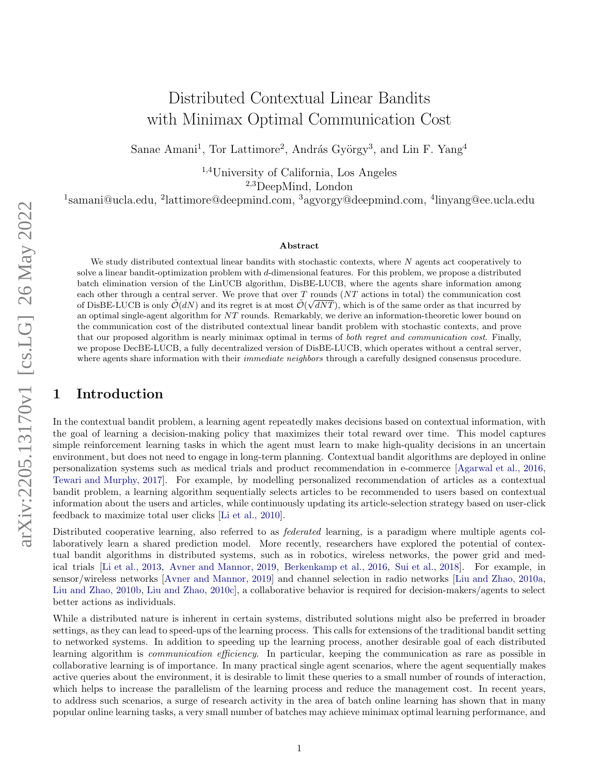# Distributed Contextual Linear Bandits with Minimax Optimal Communication Cost

Sanae Amani<sup>1</sup>, Tor Lattimore<sup>2</sup>, András György<sup>3</sup>, and Lin F. Yang<sup>4</sup>

1,4University of California, Los Angeles 2,3DeepMind, London

<sup>1</sup>samani@ucla.edu, <sup>2</sup>lattimore@deepmind.com, <sup>3</sup>agyorgy@deepmind.com, <sup>4</sup>linyang@ee.ucla.edu

#### Abstract

We study distributed contextual linear bandits with stochastic contexts, where N agents act cooperatively to solve a linear bandit-optimization problem with d-dimensional features. For this problem, we propose a distributed batch elimination version of the LinUCB algorithm, DisBE-LUCB, where the agents share information among each other through a central server. We prove that over  $T$  rounds (NT actions in total) the communication cost of DisBE-LUCB is only  $\tilde{\mathcal{O}}(dN)$  and its regret is at most  $\tilde{\mathcal{O}}(\sqrt{dNT})$ , which is of the same order as that incurred by an optimal single-agent algorithm for NT rounds. Remarkably, we derive an information-theoretic lower bound on the communication cost of the distributed contextual linear bandit problem with stochastic contexts, and prove that our proposed algorithm is nearly minimax optimal in terms of both regret and communication cost. Finally, we propose DecBE-LUCB, a fully decentralized version of DisBE-LUCB, which operates without a central server, where agents share information with their *immediate neighbors* through a carefully designed consensus procedure.

# 1 Introduction

In the contextual bandit problem, a learning agent repeatedly makes decisions based on contextual information, with the goal of learning a decision-making policy that maximizes their total reward over time. This model captures simple reinforcement learning tasks in which the agent must learn to make high-quality decisions in an uncertain environment, but does not need to engage in long-term planning. Contextual bandit algorithms are deployed in online personalization systems such as medical trials and product recommendation in e-commerce [\[Agarwal et al., 2016,](#page-9-0) [Tewari and Murphy, 2017\]](#page-10-0). For example, by modelling personalized recommendation of articles as a contextual bandit problem, a learning algorithm sequentially selects articles to be recommended to users based on contextual information about the users and articles, while continuously updating its article-selection strategy based on user-click feedback to maximize total user clicks [\[Li et al., 2010\]](#page-9-1).

Distributed cooperative learning, also referred to as federated learning, is a paradigm where multiple agents collaboratively learn a shared prediction model. More recently, researchers have explored the potential of contextual bandit algorithms in distributed systems, such as in robotics, wireless networks, the power grid and medical trials [\[Li et al., 2013,](#page-9-2) [Avner and Mannor, 2019,](#page-9-3) [Berkenkamp et al., 2016,](#page-9-4) [Sui et al., 2018\]](#page-10-1). For example, in sensor/wireless networks [\[Avner and Mannor, 2019\]](#page-9-3) and channel selection in radio networks [\[Liu and Zhao, 2010a,](#page-9-5) [Liu and Zhao, 2010b,](#page-9-6) [Liu and Zhao, 2010c\]](#page-9-7), a collaborative behavior is required for decision-makers/agents to select better actions as individuals.

While a distributed nature is inherent in certain systems, distributed solutions might also be preferred in broader settings, as they can lead to speed-ups of the learning process. This calls for extensions of the traditional bandit setting to networked systems. In addition to speeding up the learning process, another desirable goal of each distributed learning algorithm is communication efficiency. In particular, keeping the communication as rare as possible in collaborative learning is of importance. In many practical single agent scenarios, where the agent sequentially makes active queries about the environment, it is desirable to limit these queries to a small number of rounds of interaction, which helps to increase the parallelism of the learning process and reduce the management cost. In recent years, to address such scenarios, a surge of research activity in the area of batch online learning has shown that in many popular online learning tasks, a very small number of batches may achieve minimax optimal learning performance, and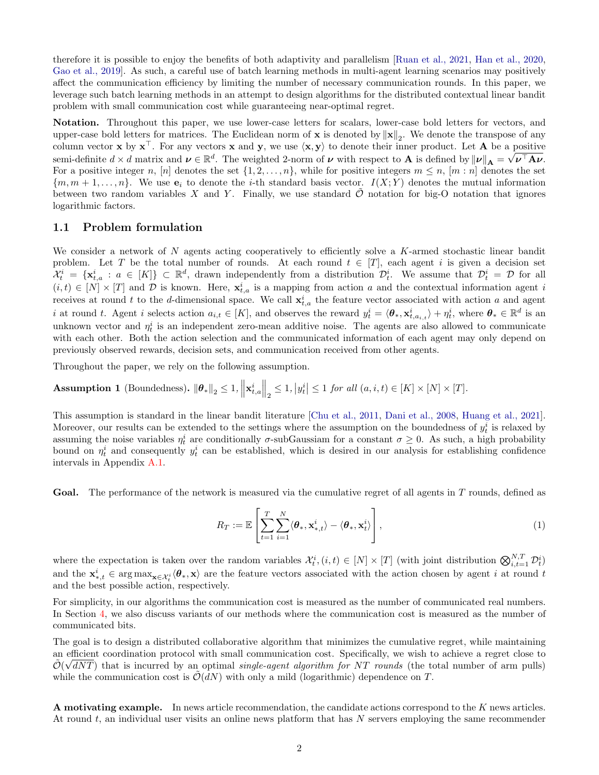therefore it is possible to enjoy the benefits of both adaptivity and parallelism [\[Ruan et al., 2021,](#page-10-2) [Han et al., 2020,](#page-9-8) [Gao et al., 2019\]](#page-9-9). As such, a careful use of batch learning methods in multi-agent learning scenarios may positively affect the communication efficiency by limiting the number of necessary communication rounds. In this paper, we leverage such batch learning methods in an attempt to design algorithms for the distributed contextual linear bandit problem with small communication cost while guaranteeing near-optimal regret.

Notation. Throughout this paper, we use lower-case letters for scalars, lower-case bold letters for vectors, and upper-case bold letters for matrices. The Euclidean norm of **x** is denoted by  $\|\mathbf{x}\|_2$ . We denote the transpose of any column vector **x** by  $\mathbf{x}^{\top}$ . For any vectors **x** and **y**, we use  $\langle \mathbf{x}, \mathbf{y} \rangle$  to denote their inner product. Let **A** be a positive semi-definite  $d \times d$  matrix and  $\boldsymbol{\nu} \in \mathbb{R}^d$ . The weighted 2-norm of  $\boldsymbol{\nu}$  with respect to **A** is defined by  $\|\boldsymbol{\nu}\|_A = \sqrt{\boldsymbol{\nu}^\top \mathbf{A} \boldsymbol{\nu}}$ . For a positive integer n, [n] denotes the set  $\{1, 2, ..., n\}$ , while for positive integers  $m \leq n$ , [m : n] denotes the set  ${m, m+1, \ldots, n}$ . We use  $e_i$  to denote the *i*-th standard basis vector.  $I(X; Y)$  denotes the mutual information between two random variables X and Y. Finally, we use standard  $\tilde{\mathcal{O}}$  notation for big-O notation that ignores logarithmic factors.

#### 1.1 Problem formulation

We consider a network of N agents acting cooperatively to efficiently solve a K-armed stochastic linear bandit problem. Let T be the total number of rounds. At each round  $t \in [T]$ , each agent i is given a decision set  $\mathcal{X}_t^i = \{\mathbf{x}_{t,a}^i : a \in [K]\} \subset \mathbb{R}^d$ , drawn independently from a distribution  $\mathcal{D}_t^i$ . We assume that  $\mathcal{D}_t^i = \mathcal{D}$  for all  $(i,t) \in [N] \times [T]$  and D is known. Here,  $\mathbf{x}_{t,a}^i$  is a mapping from action a and the contextual information agent i receives at round t to the d-dimensional space. We call  $\mathbf{x}_{t,a}^i$  the feature vector associated with action a and agent i at round t. Agent i selects action  $a_{i,t} \in [K]$ , and observes the reward  $y_t^i = \langle \theta_*, \mathbf{x}_{t,a_{i,t}}^i \rangle + \eta_t^i$ , where  $\theta_* \in \mathbb{R}^d$  is an unknown vector and  $\eta_t^i$  is an independent zero-mean additive noise. The agents are also allowed to communicate with each other. Both the action selection and the communicated information of each agent may only depend on previously observed rewards, decision sets, and communication received from other agents.

Throughout the paper, we rely on the following assumption.

<span id="page-1-0"></span>Assumption 1 (Boundedness).  $\|\boldsymbol{\theta}_*\|_2 \leq 1$ ,  $\left\|\mathbf{x}_{t,a}^i\right\|_2 \leq 1$ ,  $\left\|y_t^i\right\| \leq 1$  for all  $(a,i,t) \in [K] \times [N] \times [T]$ .

This assumption is standard in the linear bandit literature [\[Chu et al., 2011,](#page-9-10) [Dani et al., 2008,](#page-9-11) [Huang et al., 2021\]](#page-9-12). Moreover, our results can be extended to the settings where the assumption on the boundedness of  $y_t^i$  is relaxed by assuming the noise variables  $\eta_t^i$  are conditionally  $\sigma$ -subGaussiam for a constant  $\sigma \geq 0$ . As such, a high probability bound on  $\eta_t^i$  and consequently  $y_t^i$  can be established, which is desired in our analysis for establishing confidence intervals in Appendix [A.1.](#page-11-0)

Goal. The performance of the network is measured via the cumulative regret of all agents in T rounds, defined as

<span id="page-1-1"></span>
$$
R_T := \mathbb{E}\left[\sum_{t=1}^T \sum_{i=1}^N \langle \boldsymbol{\theta}_*, \mathbf{x}_{*,t}^i \rangle - \langle \boldsymbol{\theta}_*, \mathbf{x}_t^i \rangle \right],\tag{1}
$$

where the expectation is taken over the random variables  $\mathcal{X}_t^i$ ,  $(i,t) \in [N] \times [T]$  (with joint distribution  $\bigotimes_{i,t=1}^{N,T} \mathcal{D}_t^i$ ) and the  $\mathbf{x}_{*,t}^i \in \arg \max_{\mathbf{x} \in \mathcal{X}_t^i} \langle \theta_*, \mathbf{x} \rangle$  are the feature vectors associated with the action chosen by agent i at round t and the best possible action, respectively.

For simplicity, in our algorithms the communication cost is measured as the number of communicated real numbers. In Section [4,](#page-6-0) we also discuss variants of our methods where the communication cost is measured as the number of communicated bits.

The goal is to design a distributed collaborative algorithm that minimizes the cumulative regret, while maintaining an efficient coordination protocol with small communication cost. Specifically, we wish to achieve a regret close to  $\tilde{\mathcal{O}}(\sqrt{dNT})$  that is incurred by an optimal *single-agent algorithm for NT rounds* (the total number of arm pulls) while the communication cost is  $\mathcal{O}(dN)$  with only a mild (logarithmic) dependence on T.

A motivating example. In news article recommendation, the candidate actions correspond to the K news articles. At round  $t$ , an individual user visits an online news platform that has  $N$  servers employing the same recommender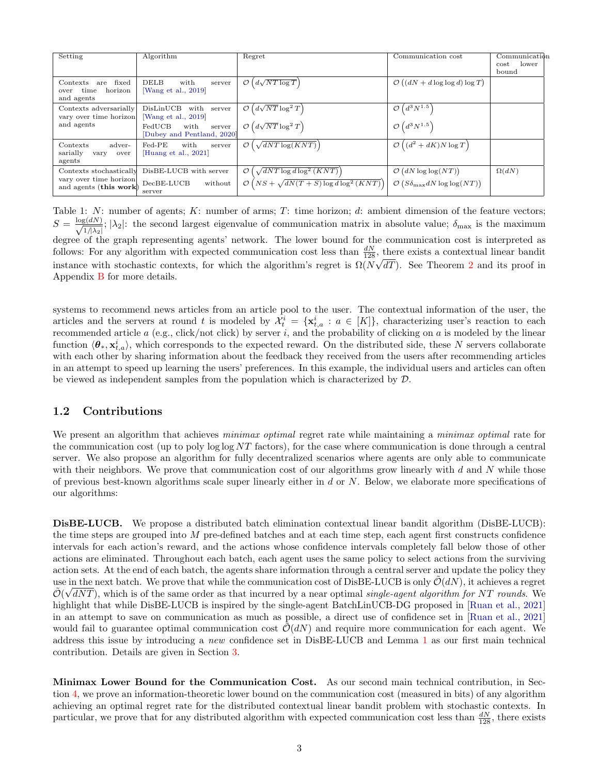<span id="page-2-0"></span>

| Setting                                                                     | Algorithm                                                   | Regret                                                                                                             | Communication cost                                                                             | Communicat <sub>ibn</sub><br>cost<br>lower<br>bound |
|-----------------------------------------------------------------------------|-------------------------------------------------------------|--------------------------------------------------------------------------------------------------------------------|------------------------------------------------------------------------------------------------|-----------------------------------------------------|
| fixed<br>Contexts<br>are<br>horizon<br>time<br>over<br>and agents           | <b>DELB</b><br>with<br>server<br>Wang et al., 2019]         | $d\sqrt{NT\log T}$<br>$\mathcal{O}$                                                                                | $\mathcal{O}\left((dN+d\log\log d)\log T\right)$                                               |                                                     |
| Contexts adversarially<br>vary over time horizon<br>and agents              | DisLinUCB<br>with<br>server<br>Wang et al., 2019]           | $\left(d\sqrt{NT}\log^2 T\right)$<br>$\mathcal{O}$                                                                 | $(d^3N^{1.5})$<br>$\mathcal{O}$                                                                |                                                     |
|                                                                             | FedUCB<br>with<br>server<br>[Dubey and Pentland, 2020]      | $\mathcal{O}\left(d\sqrt{NT}\log^2 T\right)$                                                                       | $\mathcal{O}\left(d^3N^{1.5}\right)$                                                           |                                                     |
| adver-<br>Contexts<br>sarially<br>vary<br>over<br>agents                    | $_{\rm Fed-PE}$<br>with<br>server<br>Huang et al., 2021     | $\sqrt{dNT\log(KNT)}$<br>$\mathcal{O}$                                                                             | $\mathcal{O}\left((d^2+dK)N\log T\right)$                                                      |                                                     |
| Contexts stochastically<br>vary over time horizon<br>and agents (this work) | DisBE-LUCB with server<br>$DecBE-LUCB$<br>without<br>server | $\sqrt{dNT\log d\log^2(KNT)}$<br>$\mathcal{O}$<br>$\mathcal{O}\left(NS + \sqrt{dN(T+S)\log d\log^2{(KNT)}}\right)$ | $\mathcal{O}\left(dN\log\log (NT)\right)$<br>$\mathcal{O}(S\delta_{\text{max}}dN\log\log(NT))$ | $\Omega(dN)$                                        |

Table 1: N: number of agents; K: number of arms; T: time horizon; d: ambient dimension of the feature vectors;  $S = \frac{\log(dN)}{a}$  $\frac{\zeta(dn)}{1/\lambda_2}$ ;  $|\lambda_2|$ : the second largest eigenvalue of communication matrix in absolute value;  $\delta_{\max}$  is the maximum degree of the graph representing agents' network. The lower bound for the communication cost is interpreted as follows: For any algorithm with expected communication cost less than  $\frac{dN}{128}$ , there exists a contextual linear bandit instance with stochastic contexts, for which the algorithm's regret is  $\Omega(N\sqrt{dT})$ . See Theorem [2](#page-6-1) and its proof in Appendix [B](#page-14-0) for more details.

systems to recommend news articles from an article pool to the user. The contextual information of the user, the articles and the servers at round t is modeled by  $\mathcal{X}_t^i = \{\mathbf{x}_{t,a}^i : a \in [K]\}$ , characterizing user's reaction to each recommended article  $a$  (e.g., click/not click) by server  $i$ , and the probability of clicking on  $a$  is modeled by the linear function  $\langle \theta_*, \mathbf{x}_{t,a}^i \rangle$ , which corresponds to the expected reward. On the distributed side, these N servers collaborate with each other by sharing information about the feedback they received from the users after recommending articles in an attempt to speed up learning the users' preferences. In this example, the individual users and articles can often be viewed as independent samples from the population which is characterized by D.

#### 1.2 Contributions

We present an algorithm that achieves *minimax optimal* regret rate while maintaining a *minimax optimal* rate for the communication cost (up to poly  $\log \log NT$  factors), for the case where communication is done through a central server. We also propose an algorithm for fully decentralized scenarios where agents are only able to communicate with their neighbors. We prove that communication cost of our algorithms grow linearly with d and N while those of previous best-known algorithms scale super linearly either in  $d$  or  $N$ . Below, we elaborate more specifications of our algorithms:

DisBE-LUCB. We propose a distributed batch elimination contextual linear bandit algorithm (DisBE-LUCB): the time steps are grouped into  $M$  pre-defined batches and at each time step, each agent first constructs confidence intervals for each action's reward, and the actions whose confidence intervals completely fall below those of other actions are eliminated. Throughout each batch, each agent uses the same policy to select actions from the surviving action sets. At the end of each batch, the agents share information through a central server and update the policy they use in the next batch. We prove that while the communication cost of DisBE-LUCB is only  $\tilde{\mathcal{O}}(dN)$ , it achieves a regret  $\tilde{\mathcal{O}}(\sqrt{dNT})$ , which is of the same order as that incurred by a near optimal single-agent algorithm for NT rounds. We highlight that while DisBE-LUCB is inspired by the single-agent BatchLinUCB-DG proposed in [\[Ruan et al., 2021\]](#page-10-2) in an attempt to save on communication as much as possible, a direct use of confidence set in [\[Ruan et al., 2021\]](#page-10-2) would fail to guarantee optimal communication cost  $\mathcal{O}(dN)$  and require more communication for each agent. We address this issue by introducing a new confidence set in DisBE-LUCB and Lemma [1](#page-5-0) as our first main technical contribution. Details are given in Section [3.](#page-3-0)

Minimax Lower Bound for the Communication Cost. As our second main technical contribution, in Section [4,](#page-6-0) we prove an information-theoretic lower bound on the communication cost (measured in bits) of any algorithm achieving an optimal regret rate for the distributed contextual linear bandit problem with stochastic contexts. In particular, we prove that for any distributed algorithm with expected communication cost less than  $\frac{dN}{128}$ , there exists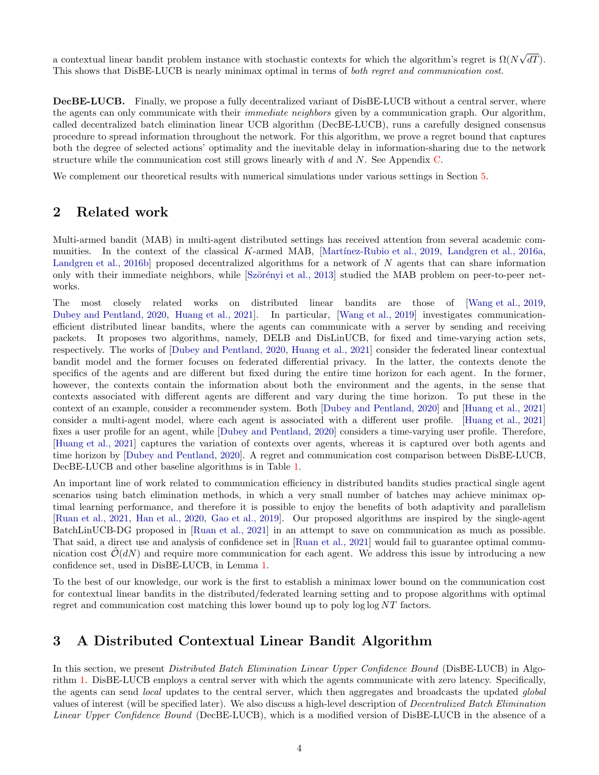a contextual linear bandit problem instance with stochastic contexts for which the algorithm's regret is  $\Omega(N)$ √  $dT$ ). This shows that DisBE-LUCB is nearly minimax optimal in terms of both regret and communication cost.

DecBE-LUCB. Finally, we propose a fully decentralized variant of DisBE-LUCB without a central server, where the agents can only communicate with their *immediate neighbors* given by a communication graph. Our algorithm, called decentralized batch elimination linear UCB algorithm (DecBE-LUCB), runs a carefully designed consensus procedure to spread information throughout the network. For this algorithm, we prove a regret bound that captures both the degree of selected actions' optimality and the inevitable delay in information-sharing due to the network structure while the communication cost still grows linearly with  $d$  and  $N$ . See Appendix [C.](#page-17-0)

We complement our theoretical results with numerical simulations under various settings in Section [5.](#page-7-0)

# 2 Related work

Multi-armed bandit (MAB) in multi-agent distributed settings has received attention from several academic com-munities. In the context of the classical K-armed MAB, [Martínez-Rubio et al., 2019, [Landgren et al., 2016a,](#page-9-14) [Landgren et al., 2016b\]](#page-9-15) proposed decentralized algorithms for a network of N agents that can share information only with their immediate neighbors, while [Szörényi et al., 2013] studied the MAB problem on peer-to-peer networks.

The most closely related works on distributed linear bandits are those of [\[Wang et al., 2019,](#page-10-3) [Dubey and Pentland, 2020,](#page-9-13) [Huang et al., 2021\]](#page-9-12). In particular, [\[Wang et al., 2019\]](#page-10-3) investigates communicationefficient distributed linear bandits, where the agents can communicate with a server by sending and receiving packets. It proposes two algorithms, namely, DELB and DisLinUCB, for fixed and time-varying action sets, respectively. The works of [\[Dubey and Pentland, 2020,](#page-9-13) [Huang et al., 2021\]](#page-9-12) consider the federated linear contextual bandit model and the former focuses on federated differential privacy. In the latter, the contexts denote the specifics of the agents and are different but fixed during the entire time horizon for each agent. In the former, however, the contexts contain the information about both the environment and the agents, in the sense that contexts associated with different agents are different and vary during the time horizon. To put these in the context of an example, consider a recommender system. Both [\[Dubey and Pentland, 2020\]](#page-9-13) and [\[Huang et al., 2021\]](#page-9-12) consider a multi-agent model, where each agent is associated with a different user profile. [\[Huang et al., 2021\]](#page-9-12) fixes a user profile for an agent, while [\[Dubey and Pentland, 2020\]](#page-9-13) considers a time-varying user profile. Therefore, [\[Huang et al., 2021\]](#page-9-12) captures the variation of contexts over agents, whereas it is captured over both agents and time horizon by [\[Dubey and Pentland, 2020\]](#page-9-13). A regret and communication cost comparison between DisBE-LUCB, DecBE-LUCB and other baseline algorithms is in Table [1.](#page-2-0)

An important line of work related to communication efficiency in distributed bandits studies practical single agent scenarios using batch elimination methods, in which a very small number of batches may achieve minimax optimal learning performance, and therefore it is possible to enjoy the benefits of both adaptivity and parallelism [\[Ruan et al., 2021,](#page-10-2) [Han et al., 2020,](#page-9-8) [Gao et al., 2019\]](#page-9-9). Our proposed algorithms are inspired by the single-agent BatchLinUCB-DG proposed in [\[Ruan et al., 2021\]](#page-10-2) in an attempt to save on communication as much as possible. That said, a direct use and analysis of confidence set in [\[Ruan et al., 2021\]](#page-10-2) would fail to guarantee optimal communication cost  $\mathcal{O}(dN)$  and require more communication for each agent. We address this issue by introducing a new confidence set, used in DisBE-LUCB, in Lemma [1.](#page-5-0)

To the best of our knowledge, our work is the first to establish a minimax lower bound on the communication cost for contextual linear bandits in the distributed/federated learning setting and to propose algorithms with optimal regret and communication cost matching this lower bound up to poly  $\log \log NT$  factors.

# <span id="page-3-0"></span>3 A Distributed Contextual Linear Bandit Algorithm

In this section, we present *Distributed Batch Elimination Linear Upper Confidence Bound* (DisBE-LUCB) in Algorithm [1.](#page-4-0) DisBE-LUCB employs a central server with which the agents communicate with zero latency. Specifically, the agents can send *local* updates to the central server, which then aggregates and broadcasts the updated *global* values of interest (will be specified later). We also discuss a high-level description of Decentralized Batch Elimination Linear Upper Confidence Bound (DecBE-LUCB), which is a modified version of DisBE-LUCB in the absence of a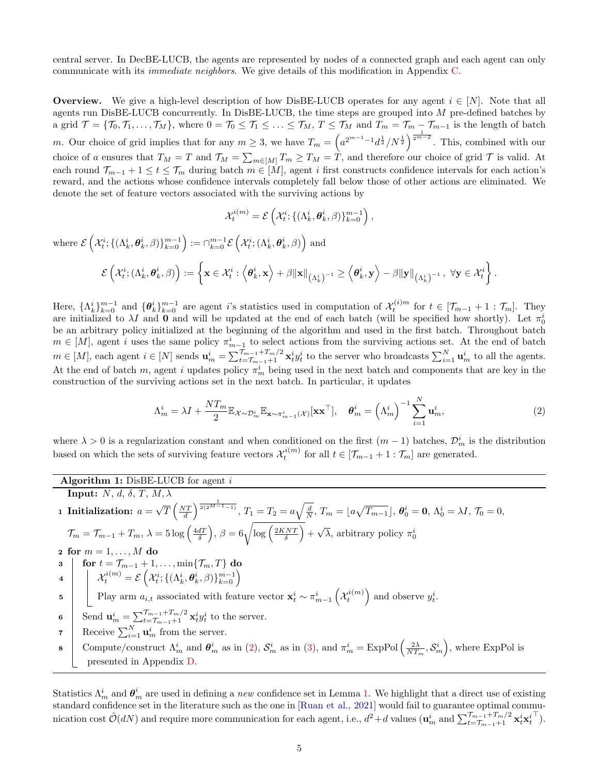central server. In DecBE-LUCB, the agents are represented by nodes of a connected graph and each agent can only communicate with its immediate neighbors. We give details of this modification in Appendix [C.](#page-17-0)

**Overview.** We give a high-level description of how DisBE-LUCB operates for any agent  $i \in [N]$ . Note that all agents run DisBE-LUCB concurrently. In DisBE-LUCB, the time steps are grouped into M pre-defined batches by a grid  $\mathcal{T} = {\mathcal{T}_0, \mathcal{T}_1, \ldots, \mathcal{T}_M}$ , where  $0 = \mathcal{T}_0 \leq \mathcal{T}_1 \leq \ldots \leq \mathcal{T}_M, T \leq \mathcal{T}_M$  and  $T_m = \mathcal{T}_m - \mathcal{T}_{m-1}$  is the length of batch m. Our choice of grid implies that for any  $m \geq 3$ , we have  $T_m = \left(a^{2^{m-1}-1}d^{\frac{1}{2}}/N^{\frac{1}{2}}\right)^{\frac{1}{2^{m-2}}}$ . This, combined with our choice of a ensures that  $T_M = T$  and  $\mathcal{T}_M = \sum_{m \in [M]} T_m \ge T_M = T$ , and therefore our choice of grid  $\mathcal T$  is valid. At each round  $\mathcal{T}_{m-1} + 1 \leq t \leq \mathcal{T}_m$  during batch  $m \in [M]$ , agent i first constructs confidence intervals for each action's reward, and the actions whose confidence intervals completely fall below those of other actions are eliminated. We denote the set of feature vectors associated with the surviving actions by

<span id="page-4-1"></span>
$$
\mathcal{X}_t^{i(m)} = \mathcal{E}\left(\mathcal{X}_t^i; \{(\Lambda_k^i, \theta_k^i, \beta)\}_{k=0}^{m-1}\right),\,
$$

where  $\mathcal{E}\left(\mathcal{X}_t^i; \{(\Lambda_k^i, \theta_k^i, \beta)\}_{k=0}^{m-1}\right) := \cap_{k=0}^{m-1} \mathcal{E}\left(\mathcal{X}_t^i; (\Lambda_k^i, \theta_k^i, \beta)\right)$  and  $\mathcal{E}\left(\mathcal{X}_t^i; (\Lambda_k^i, \pmb{\theta}_k^i, \beta)\right) := \bigg\{\mathbf{x} \in \mathcal{X}_t^i: \left\langle \pmb{\theta}_k^i, \mathbf{x} \right\rangle + \beta \|\mathbf{x}\|_{\left(\Lambda_k^i\right)^{-1}} \geq \left\langle \pmb{\theta}_k^i, \mathbf{y} \right\rangle - \beta \| \mathbf{y} \|_{\left(\Lambda_k^i\right)^{-1}}, \,\, \forall \mathbf{y} \in \mathcal{X}_t^i$  $\Big\} \, .$ 

Here,  $\{\Lambda_k^i\}_{k=0}^{m-1}$  and  $\{\theta_k^i\}_{k=0}^{m-1}$  are agent i's statistics used in computation of  $\mathcal{X}_t^{(i)m}$  for  $t \in [\mathcal{T}_{m-1} + 1 : \mathcal{T}_m]$ . They are initialized to  $\lambda I$  and 0 and will be updated at the end of each batch (will be specified how shortly). Let  $\pi_0^i$ be an arbitrary policy initialized at the beginning of the algorithm and used in the first batch. Throughout batch  $m \in [M]$ , agent i uses the same policy  $\pi_{m-1}^i$  to select actions from the surviving actions set. At the end of batch  $m \in [M]$ , each agent  $i \in [N]$  sends  $\mathbf{u}_m^i = \sum_{t=\mathcal{T}_{m-1}+1}^{\mathcal{T}_{m-1}+\mathcal{T}_m/2} \mathbf{x}_t^i y_t^i$  to the server who broadcasts  $\sum_{i=1}^N \mathbf{u}_m^i$  to all the agents. At the end of batch m, agent i updates policy  $\pi_m^i$  being used in the next batch and components that are key in the construction of the surviving actions set in the next batch. In particular, it updates

$$
\Lambda_m^i = \lambda I + \frac{NT_m}{2} \mathbb{E}_{\mathcal{X} \sim \mathcal{D}_m^i} \mathbb{E}_{\mathbf{x} \sim \pi_{m-1}^i(\mathcal{X})} [\mathbf{x} \mathbf{x}^\top], \quad \boldsymbol{\theta}_m^i = \left(\Lambda_m^i\right)^{-1} \sum_{i=1}^N \mathbf{u}_m^i,
$$
\n(2)

where  $\lambda > 0$  is a regularization constant and when conditioned on the first  $(m-1)$  batches,  $\mathcal{D}_m^i$  is the distribution based on which the sets of surviving feature vectors  $\mathcal{X}_t^{i(m)}$  for all  $t \in [\mathcal{T}_{m-1} + 1 : \mathcal{T}_m]$  are generated.

Algorithm 1: DisBE-LUCB for agent i

<span id="page-4-0"></span>**Input:**  $N, d, \delta, T, M, \lambda$ 1 Initialization:  $a =$ √  $\overline{T}\left(\frac{NT}{d}\right)^{\frac{1}{2(2^{M-1}-1)}},\, T_1=T_2=a\sqrt{\frac{d}{N}},\, T_m=\lfloor a\sqrt{T_{m-1}}\rfloor,\, \boldsymbol{\theta}^i_0=\boldsymbol{0},\, \Lambda^i_0=\lambda I,\, \mathcal{T}_0=0,$  $\mathcal{T}_m = \mathcal{T}_{m-1} + T_m, \, \lambda = 5 \log \left( \frac{4dT}{\delta} \right), \, \beta = 6 \sqrt{\log \left( \frac{2KNT}{\delta} \right)} +$ √  $\overline{\lambda}$ , arbitrary policy  $\pi_0^i$ 2 for  $m = 1, \ldots, M$  do  $\mathbf{3} \quad | \quad \mathbf{for} \; t = \mathcal{T}_{m-1} + 1, \ldots, \min\{\mathcal{T}_m, T\} \; \mathbf{do}$  $\mathcal{H}_t^{i(m)} = \mathcal{E}\left(\mathcal{X}_t^i; \{(\Lambda_k^i, \boldsymbol{\theta}_k^i, \beta)\}_{k=0}^{m-1}\right),$ 5 Play arm  $a_{i,t}$  associated with feature vector  $x_t^i \sim \pi_{m-1}^i\left(\mathcal{X}_t^{i(m)}\right)$  and observe  $y_t^i$ . 6 Send  $\mathbf{u}_m^i = \sum_{t=\mathcal{T}_{m-1}+1}^{\mathcal{T}_{m-1}+T_m/2} \mathbf{x}_t^i y_t^i$  to the server. 7 Receive  $\sum_{i=1}^{N} \mathbf{u}_m^i$  from the server. **8** Compute/construct  $\Lambda_m^i$  and  $\boldsymbol{\theta}_m^i$  as in [\(2\)](#page-4-1),  $\mathcal{S}_m^i$  as in [\(3\)](#page-5-1), and  $\pi_m^i = \text{ExpPol}\left(\frac{2\lambda}{NT_m}, \mathcal{S}_m^i\right)$ , where ExpPol is presented in Appendix [D.](#page-21-0)

<span id="page-4-3"></span><span id="page-4-2"></span>Statistics  $\Lambda_m^i$  and  $\theta_m^i$  are used in defining a new confidence set in Lemma [1.](#page-5-0) We highlight that a direct use of existing standard confidence set in the literature such as the one in [\[Ruan et al., 2021\]](#page-10-2) would fail to guarantee optimal communication cost  $\tilde{\mathcal{O}}(dN)$  and require more communication for each agent, i.e.,  $d^2 + d$  values  $(\mathbf{u}_m^i \text{ and } \sum_{t=\mathcal{T}_{m-1}+1}^{\mathcal{T}_{m-1}+\mathcal{T}_m/2} \mathbf{x}_t^i \mathbf{x}_t^i)$  $\top$  ).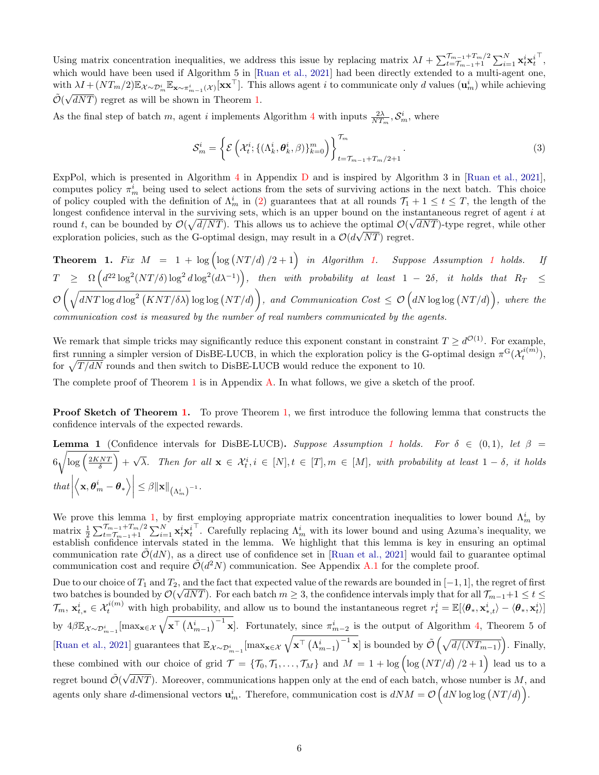Using matrix concentration inequalities, we address this issue by replacing matrix  $\lambda I + \sum_{t=\mathcal{T}_{m-1}+1}^{\mathcal{T}_{m-1}+\mathcal{T}_{m}/2} \sum_{i=1}^N \mathbf{x}_t^i \mathbf{x}_t^i$ > , which would have been used if Algorithm 5 in [\[Ruan et al., 2021\]](#page-10-2) had been directly extended to a multi-agent one, with  $\lambda I + (NT_m/2) \mathbb{E}_{\mathcal{X} \sim \mathcal{D}_m^i} \mathbb{E}_{\mathbf{x} \sim \pi_{m-1}^i(\mathcal{X})} [\mathbf{x} \mathbf{x}^\top]$ . This allows agent *i* to communicate only *d* values  $(\mathbf{u}_m^i)$  while achieving  $\tilde{\mathcal{O}}(\sqrt{dNT})$  regret as will be shown in Theorem [1.](#page-5-2)

As the final step of batch m, agent i implements Algorithm [4](#page-22-0) with inputs  $\frac{2\lambda}{NT_m}, \mathcal{S}_m^i$ , where

<span id="page-5-1"></span>
$$
S_m^i = \left\{ \mathcal{E} \left( \mathcal{X}_t^i; \{ (\Lambda_k^i, \boldsymbol{\theta}_k^i, \beta) \}_{k=0}^m \right) \right\}_{t=\mathcal{T}_{m-1}+\mathcal{T}_m/2+1}^{\mathcal{T}_m}.
$$
\n(3)

ExpPol, which is presented in Algorithm [4](#page-22-0) in Appendix [D](#page-21-0) and is inspired by Algorithm 3 in [\[Ruan et al., 2021\]](#page-10-2), computes policy  $\pi_m^i$  being used to select actions from the sets of surviving actions in the next batch. This choice of policy coupled with the definition of  $\Lambda_m^i$  in [\(2\)](#page-4-1) guarantees that at all rounds  $\mathcal{T}_1 + 1 \leq t \leq T$ , the length of the longest confidence interval in the surviving sets, which is an upper bound on the instantaneous regret of agent i at round t, can be bounded by  $\mathcal{O}(\sqrt{d/NT})$ . This allows us to achieve the optimal  $\mathcal{O}(\sqrt{dNT})$ -type regret, while other exploration policies, such as the G-optimal design, may result in a  $\mathcal{O}(d\sqrt{NT})$  regret.

<span id="page-5-2"></span>**Theorem [1.](#page-4-0)** Fix  $M = 1 + \log \left( \log (NT/d) / 2 + 1 \right)$  $M = 1 + \log \left( \log (NT/d) / 2 + 1 \right)$  $M = 1 + \log \left( \log (NT/d) / 2 + 1 \right)$  in Algorithm 1. Suppose Assumption 1 holds. If  $T \geq \Omega\left(d^{22}\log^2 (NT/\delta)\log^2 d\log^2(d\lambda^{-1})\right),$  then with probability at least  $1-2\delta$ , it holds that  $R_T \leq$  $\mathcal{O}\left(\sqrt{dNT\log d\log^2(KNT/\delta\lambda)}\log\log (NT/d)\right)$ , and Communication Cost  $\leq \mathcal{O}\left(dN\log\log (NT/d)\right)$ , where the communication cost is measured by the number of real numbers communicated by the agents.

We remark that simple tricks may significantly reduce this exponent constant in constraint  $T \geq d^{\mathcal{O}(1)}$ . For example, first running a simpler version of DisBE-LUCB, in which the exploration policy is the G-optimal design  $\pi^G(\mathcal{X}_t^{i(m)})$ , for  $\sqrt{T / dN}$  rounds and then switch to DisBE-LUCB would reduce the exponent to 10.

The complete proof of Theorem [1](#page-5-2) is in Appendix [A.](#page-11-1) In what follows, we give a sketch of the proof.

**Proof Sketch of Theorem [1.](#page-5-2)** To prove Theorem [1,](#page-5-2) we first introduce the following lemma that constructs the confidence intervals of the expected rewards.

<span id="page-5-0"></span>**Lemma [1](#page-1-0)** (Confidence intervals for DisBE-LUCB). Suppose Assumption 1 holds. For  $\delta \in (0,1)$ , let  $\beta =$  $6\sqrt{\log\left(\frac{2KNT}{\delta}\right)}$  +  $\sqrt{\lambda}$ . Then for all  $\mathbf{x} \in \mathcal{X}_t^i, i \in [N], t \in [T], m \in [M]$ , with probability at least  $1 - \delta$ , it holds  $that$  $\left. \left\langle \mathbf{x},\boldsymbol{\theta }_{m}^{i}-\boldsymbol{\theta }_{\ast }\right\rangle \right\vert$  $\leq \beta \|\mathbf{x}\|_{\left(\Lambda^i_m\right)^{-1}}.$ 

We prove this lemma [1,](#page-5-0) by first employing appropriate matrix concentration inequalities to lower bound  $\Lambda_m^i$  by matrix  $\frac{1}{2}\sum_{t=\mathcal{T}_{m-1}+1}^{\mathcal{T}_{m-1}+T_m/2}\sum_{i=1}^N\mathbf{x}_t^i\mathbf{x}_t^i$ <sup>T</sup>. Carefully replacing  $\Lambda_m^i$  with its lower bound and using Azuma's inequality, we establish confidence intervals stated in the lemma. We highlight that this lemma is key in ensuring an optimal communication rate  $\mathcal{O}(dN)$ , as a direct use of confidence set in [\[Ruan et al., 2021\]](#page-10-2) would fail to guarantee optimal communication cost and require  $\tilde{\mathcal{O}}(d^2N)$  communication. See Appendix [A.1](#page-11-0) for the complete proof.

Due to our choice of  $T_1$  and  $T_2$ , and the fact that expected value of the rewards are bounded in  $[-1, 1]$ , the regret of first two batches is bounded by  $\mathcal{O}(\sqrt{dNT})$ . For each batch  $m \geq 3$ , the confidence intervals imply that for all  $\mathcal{T}_{m-1}+1 \leq t \leq$  $\mathcal{T}_m$ ,  $\mathbf{x}_{t,*}^i \in \mathcal{X}_t^{i(m)}$  with high probability, and allow us to bound the instantaneous regret  $r_t^i = \mathbb{E}[\langle \theta_*, \mathbf{x}_{*,t}^i \rangle - \langle \theta_*, \mathbf{x}_t^i \rangle]$ by  $4\beta \mathbb{E}_{\mathcal{X}\sim\mathcal{D}_{m-1}^i}[\max_{\mathbf{x}\in\mathcal{X}}\sqrt{\mathbf{x}^{\top}\left(\Lambda_{m-1}^i\right)^{-1}\mathbf{x}}]$ . Fortunately, since  $\pi_{m-2}^i$  is the output of Algorithm [4,](#page-22-0) Theorem 5 of [\[Ruan et al., 2021\]](#page-10-2) guarantees that  $\mathbb{E}_{\mathcal{X}\sim\mathcal{D}_{m-1}^i}[\max_{\mathbf{x}\in\mathcal{X}}\sqrt{\mathbf{x}^{\top}(\Lambda_{m-1}^i)^{-1}\mathbf{x}}]$  is bounded by  $\tilde{\mathcal{O}}(\sqrt{d/(NT_{m-1})})$ . Finally, these combined with our choice of grid  $\mathcal{T} = \{\mathcal{T}_0, \mathcal{T}_1, \ldots, \mathcal{T}_M\}$  and  $M = 1 + \log \left( \log (NT/d)/2 + 1 \right)$  lead us to a regret bound  $\tilde{\mathcal{O}}(\sqrt{dNT})$ . Moreover, communications happen only at the end of each batch, whose number is M, and √ agents only share d-dimensional vectors  $\mathbf{u}_m^i$ . Therefore, communication cost is  $dNM = \mathcal{O}(dN \log \log (NT/d))$ .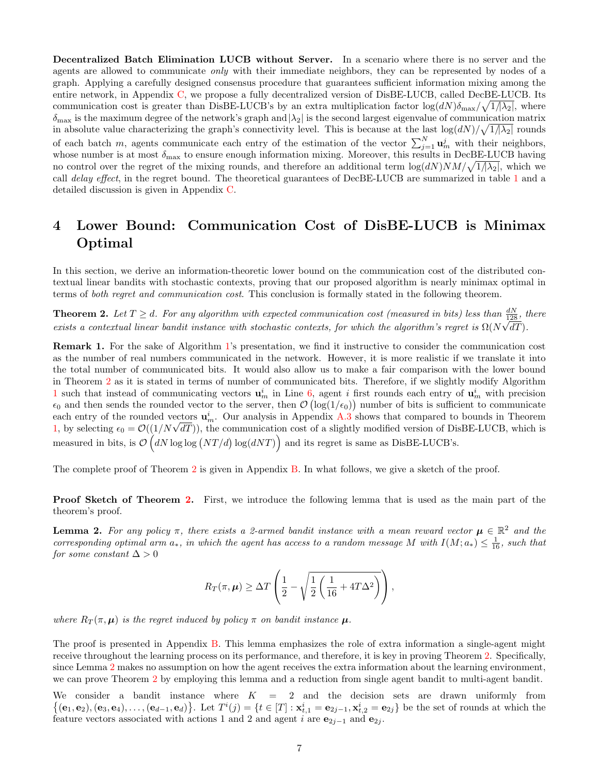Decentralized Batch Elimination LUCB without Server. In a scenario where there is no server and the agents are allowed to communicate only with their immediate neighbors, they can be represented by nodes of a graph. Applying a carefully designed consensus procedure that guarantees sufficient information mixing among the entire network, in Appendix [C,](#page-17-0) we propose a fully decentralized version of DisBE-LUCB, called DecBE-LUCB. Its communication cost is greater than DisBE-LUCB's by an extra multiplication factor  $\log(dN)\delta_{\max}/\sqrt{1/\lambda_2}$ , where  $\delta_{\text{max}}$  is the maximum degree of the network's graph and  $|\lambda_2|$  is the second largest eigenvalue of communication matrix in absolute value characterizing the graph's connectivity level. This is because at the last  $\log(dN)/\sqrt{1/\lambda_2}$  rounds of each batch m, agents communicate each entry of the estimation of the vector  $\sum_{j=1}^{N} \mathbf{u}_m^j$  with their neighbors, whose number is at most  $\delta_{\max}$  to ensure enough information mixing. Moreover, this results in DecBE-LUCB having no control over the regret of the mixing rounds, and therefore an additional term  $\log(dN)NM/\sqrt{1/\lambda_2}$ , which we call *delay effect*, in the regret bound. The theoretical guarantees of DecBE-LUCB are summarized in table [1](#page-2-0) and a detailed discussion is given in Appendix [C.](#page-17-0)

# <span id="page-6-0"></span>4 Lower Bound: Communication Cost of DisBE-LUCB is Minimax Optimal

In this section, we derive an information-theoretic lower bound on the communication cost of the distributed contextual linear bandits with stochastic contexts, proving that our proposed algorithm is nearly minimax optimal in terms of both regret and communication cost. This conclusion is formally stated in the following theorem.

<span id="page-6-1"></span>**Theorem 2.** Let  $T \geq d$ . For any algorithm with expected communication cost (measured in bits) less than  $\frac{dN}{128}$ , there exists a contextual linear bandit instance with stochastic contexts, for which the algorithm's regret is  $\Omega(N\sqrt{dT})$ .

Remark 1. For the sake of Algorithm [1'](#page-4-0)s presentation, we find it instructive to consider the communication cost as the number of real numbers communicated in the network. However, it is more realistic if we translate it into the total number of communicated bits. It would also allow us to make a fair comparison with the lower bound in Theorem [2](#page-6-1) as it is stated in terms of number of communicated bits. Therefore, if we slightly modify Algorithm [1](#page-4-0) such that instead of communicating vectors  $\mathbf{u}_m^i$  in Line [6,](#page-4-2) agent *i* first rounds each entry of  $\mathbf{u}_m^i$  with precision  $\epsilon_0$  and then sends the rounded vector to the server, then  $\mathcal{O}(\log(1/\epsilon_0))$  number of bits is sufficient to communicate each entry of the rounded vectors  $\mathbf{u}_m^i$ . Our analysis in Appendix [A.3](#page-14-1) shows that compared to bounds in Theorem each entry of the rounded vectors  $\mathbf{u}_m^*$ . Our analysis in Appendix A.3 shows that compared to bounds in Theorem [1,](#page-5-2) by selecting  $\epsilon_0 = \mathcal{O}((1/N\sqrt{dT}))$ , the communication cost of a slightly modified version of DisBE-LU measured in bits, is  $\mathcal{O}(dN \log \log (NT/d) \log (dNT))$  and its regret is same as DisBE-LUCB's.

The complete proof of Theorem [2](#page-6-1) is given in Appendix [B.](#page-14-0) In what follows, we give a sketch of the proof.

Proof Sketch of Theorem [2.](#page-6-1) First, we introduce the following lemma that is used as the main part of the theorem's proof.

<span id="page-6-2"></span>**Lemma 2.** For any policy  $\pi$ , there exists a 2-armed bandit instance with a mean reward vector  $\mu \in \mathbb{R}^2$  and the corresponding optimal arm  $a_*$ , in which the agent has access to a random message M with  $I(M; a_*) \leq \frac{1}{16}$ , such that for some constant  $\Delta > 0$ 

$$
R_T(\pi,\mu) \geq \Delta T \left( \frac{1}{2} - \sqrt{\frac{1}{2} \left( \frac{1}{16} + 4T\Delta^2 \right)} \right),
$$

where  $R_T(\pi,\mu)$  is the regret induced by policy  $\pi$  on bandit instance  $\mu$ .

The proof is presented in Appendix [B.](#page-14-0) This lemma emphasizes the role of extra information a single-agent might receive throughout the learning process on its performance, and therefore, it is key in proving Theorem [2.](#page-6-1) Specifically, since Lemma [2](#page-6-2) makes no assumption on how the agent receives the extra information about the learning environment, we can prove Theorem [2](#page-6-1) by employing this lemma and a reduction from single agent bandit to multi-agent bandit.

We consider a bandit instance where  $K = 2$  and the decision sets are drawn uniformly from  $\{(\mathbf{e}_1, \mathbf{e}_2), (\mathbf{e}_3, \mathbf{e}_4), \ldots, (\mathbf{e}_{d-1}, \mathbf{e}_d)\}\.$  Let  $T^i(j) = \{t \in [T] : \mathbf{x}_{t,1}^i = \mathbf{e}_{2j-1}, \mathbf{x}_{t,2}^i = \mathbf{e}_{2j}\}\)$  be the set of rounds at which the feature vectors associated with actions 1 and 2 and agent i are  $e_{2j-1}$  and  $e_{2j}$ .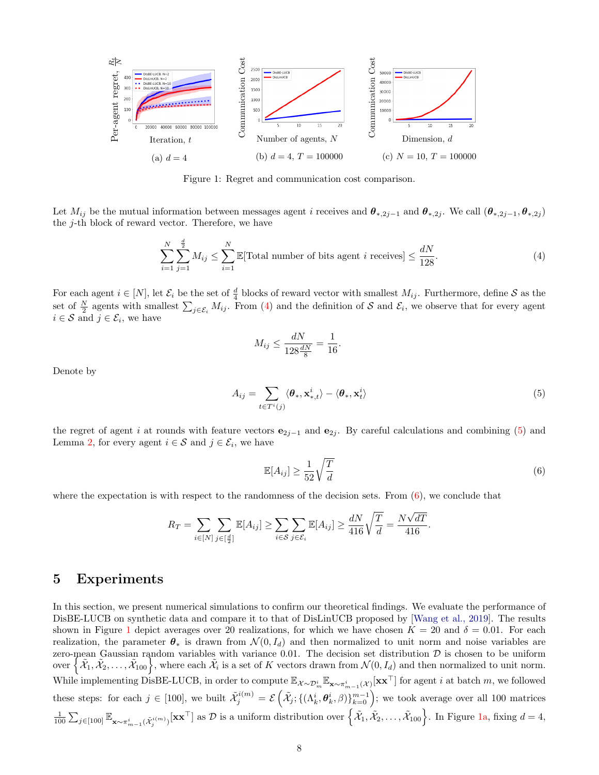<span id="page-7-4"></span>

Figure 1: Regret and communication cost comparison.

Let  $M_{ij}$  be the mutual information between messages agent i receives and  $\theta_{*,2j-1}$  and  $\theta_{*,2j}$ . We call  $(\theta_{*,2j-1}, \theta_{*,2j})$ the  $j$ -th block of reward vector. Therefore, we have

$$
\sum_{i=1}^{N} \sum_{j=1}^{\frac{d}{2}} M_{ij} \le \sum_{i=1}^{N} \mathbb{E}[\text{Total number of bits agent } i \text{ receives}] \le \frac{dN}{128}.\tag{4}
$$

For each agent  $i \in [N]$ , let  $\mathcal{E}_i$  be the set of  $\frac{d}{4}$  blocks of reward vector with smallest  $M_{ij}$ . Furthermore, define  $S$  as the set of  $\frac{N}{2}$  agents with smallest  $\sum_{j\in\mathcal{E}_i} M_{ij}$ . From [\(4\)](#page-7-1) and the definition of S and  $\mathcal{E}_i$ , we observe that for every agent  $i \in \mathcal{S}$  and  $j \in \mathcal{E}_i$ , we have

<span id="page-7-1"></span>
$$
M_{ij} \le \frac{dN}{128\frac{dN}{8}} = \frac{1}{16}.
$$

Denote by

$$
A_{ij} = \sum_{t \in T^i(j)} \langle \boldsymbol{\theta}_*, \mathbf{x}_{*,t}^i \rangle - \langle \boldsymbol{\theta}_*, \mathbf{x}_t^i \rangle \tag{5}
$$

the regret of agent i at rounds with feature vectors  $e_{2j-1}$  and  $e_{2j}$ . By careful calculations and combining [\(5\)](#page-7-2) and Lemma [2,](#page-6-2) for every agent  $i \in \mathcal{S}$  and  $j \in \mathcal{E}_i$ , we have

<span id="page-7-3"></span><span id="page-7-2"></span>
$$
\mathbb{E}[A_{ij}] \ge \frac{1}{52} \sqrt{\frac{T}{d}}
$$
\n
$$
(6)
$$

where the expectation is with respect to the randomness of the decision sets. From  $(6)$ , we conclude that

$$
R_T = \sum_{i \in [N]} \sum_{j \in [\frac{d}{2}]} \mathbb{E}[A_{ij}] \ge \sum_{i \in \mathcal{S}} \sum_{j \in \mathcal{E}_i} \mathbb{E}[A_{ij}] \ge \frac{dN}{416} \sqrt{\frac{T}{d}} = \frac{N\sqrt{dT}}{416}.
$$

### <span id="page-7-0"></span>5 Experiments

In this section, we present numerical simulations to confirm our theoretical findings. We evaluate the performance of DisBE-LUCB on synthetic data and compare it to that of DisLinUCB proposed by [\[Wang et al., 2019\]](#page-10-3). The results shown in Figure [1](#page-7-4) depict averages over 20 realizations, for which we have chosen  $K = 20$  and  $\delta = 0.01$ . For each realization, the parameter  $\theta_*$  is drawn from  $\mathcal{N}(0, I_d)$  and then normalized to unit norm and noise variables are zero-mean Gaussian random variables with variance 0.01. The decision set distribution  $D$  is chosen to be uniform over  $\{\tilde{\mathcal{X}}_1, \tilde{\mathcal{X}}_2, \ldots, \tilde{\mathcal{X}}_{100}\}$ , where each  $\tilde{\mathcal{X}}_i$  is a set of K vectors drawn from  $\mathcal{N}(0, I_d)$  and then normalized to unit norm. While implementing DisBE-LUCB, in order to compute  $\mathbb{E}_{\mathcal{X}\sim\mathcal{D}_m^i} \mathbb{E}_{\mathbf{x}\sim\pi_{m-1}^i(\mathcal{X})}[\mathbf{x}\mathbf{x}^{\top}]$  for agent i at batch m, we followed these steps: for each  $j \in [100]$ , we built  $\tilde{\mathcal{X}}_j^{i(m)} = \mathcal{E} \left( \tilde{\mathcal{X}}_j; \{(\Lambda_k^i, \theta_k^i, \beta)\}_{k=0}^{m-1} \right)$ ; we took average over all 100 matrices  $\frac{1}{100} \sum_{j \in [100]} \mathbb{E}_{\mathbf{x} \sim \pi_{m-1}^i(\tilde{\mathcal{X}}_j^{i(m)})}[\mathbf{x} \mathbf{x}^\top]$  as  $\mathcal{D}$  is a uniform distribution over  $\left\{\tilde{\mathcal{X}}_1, \tilde{\mathcal{X}}_2, \ldots, \tilde{\mathcal{X}}_{100}\right\}$ . In Figure [1a,](#page-7-4) fixing  $d = 4$ ,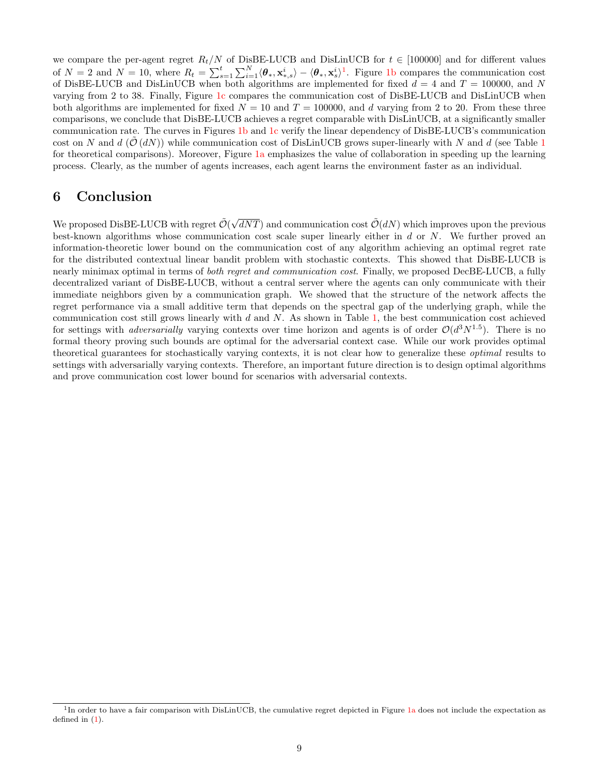we compare the per-agent regret  $R_t/N$  of DisBE-LUCB and DisLinUCB for  $t \in [100000]$  and for different values of  $N=2$  and  $N=10$  $N=10$  $N=10$ , where  $R_t = \sum_{s=1}^t \sum_{i=1}^N \langle \theta_*, \mathbf{x}_{*,s}^i \rangle - \langle \theta_*, \mathbf{x}_s^i \rangle^1$ . Figure [1b](#page-7-4) compares the communication cost of DisBE-LUCB and DisLinUCB when both algorithms are implemented for fixed  $d = 4$  and  $T = 100000$ , and N varying from 2 to 38. Finally, Figure [1c](#page-7-4) compares the communication cost of DisBE-LUCB and DisLinUCB when both algorithms are implemented for fixed  $N = 10$  and  $T = 100000$ , and d varying from 2 to 20. From these three comparisons, we conclude that DisBE-LUCB achieves a regret comparable with DisLinUCB, at a significantly smaller communication rate. The curves in Figures [1b](#page-7-4) and [1c](#page-7-4) verify the linear dependency of DisBE-LUCB's communication cost on N and  $d(\mathcal{O}(dN))$  while communication cost of DisLinUCB grows super-linearly with N and d (see Table [1](#page-2-0) for theoretical comparisons). Moreover, Figure [1a](#page-7-4) emphasizes the value of collaboration in speeding up the learning process. Clearly, as the number of agents increases, each agent learns the environment faster as an individual.

### 6 Conclusion

We proposed DisBE-LUCB with regret  $\tilde{\mathcal{O}}(\sqrt{dNT})$  and communication cost  $\tilde{\mathcal{O}}(dN)$  which improves upon the previous best-known algorithms whose communication cost scale super linearly either in  $d$  or  $N$ . We further proved an information-theoretic lower bound on the communication cost of any algorithm achieving an optimal regret rate for the distributed contextual linear bandit problem with stochastic contexts. This showed that DisBE-LUCB is nearly minimax optimal in terms of *both regret and communication cost*. Finally, we proposed DecBE-LUCB, a fully decentralized variant of DisBE-LUCB, without a central server where the agents can only communicate with their immediate neighbors given by a communication graph. We showed that the structure of the network affects the regret performance via a small additive term that depends on the spectral gap of the underlying graph, while the communication cost still grows linearly with  $d$  and  $N$ . As shown in Table [1,](#page-2-0) the best communication cost achieved for settings with *adversarially* varying contexts over time horizon and agents is of order  $\mathcal{O}(d^3N^{1.5})$ . There is no formal theory proving such bounds are optimal for the adversarial context case. While our work provides optimal theoretical guarantees for stochastically varying contexts, it is not clear how to generalize these optimal results to settings with adversarially varying contexts. Therefore, an important future direction is to design optimal algorithms and prove communication cost lower bound for scenarios with adversarial contexts.

<span id="page-8-0"></span><sup>&</sup>lt;sup>1</sup>In order to have a fair comparison with DisLinUCB, the cumulative regret depicted in Figure [1a](#page-7-4) does not include the expectation as defined in [\(1\)](#page-1-1).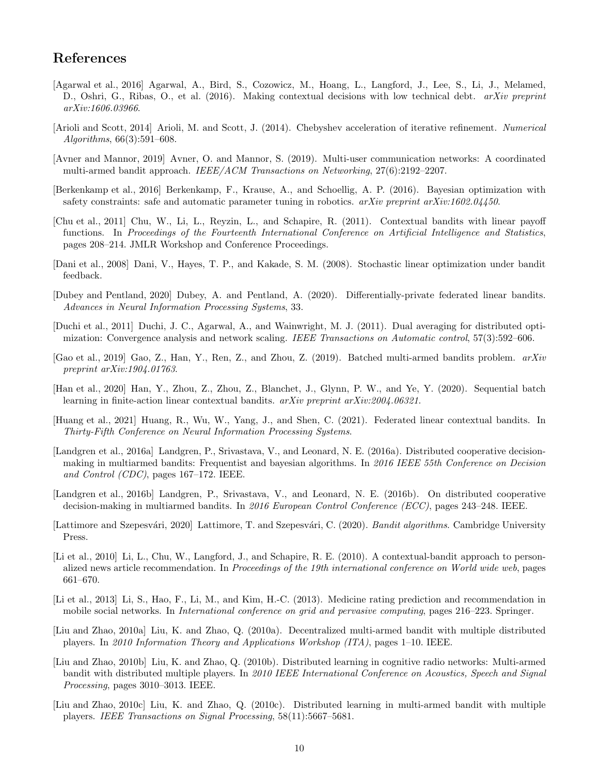# References

- <span id="page-9-0"></span>[Agarwal et al., 2016] Agarwal, A., Bird, S., Cozowicz, M., Hoang, L., Langford, J., Lee, S., Li, J., Melamed, D., Oshri, G., Ribas, O., et al. (2016). Making contextual decisions with low technical debt. arXiv preprint arXiv:1606.03966.
- <span id="page-9-17"></span>[Arioli and Scott, 2014] Arioli, M. and Scott, J. (2014). Chebyshev acceleration of iterative refinement. Numerical Algorithms, 66(3):591–608.
- <span id="page-9-3"></span>[Avner and Mannor, 2019] Avner, O. and Mannor, S. (2019). Multi-user communication networks: A coordinated multi-armed bandit approach. IEEE/ACM Transactions on Networking, 27(6):2192–2207.
- <span id="page-9-4"></span>[Berkenkamp et al., 2016] Berkenkamp, F., Krause, A., and Schoellig, A. P. (2016). Bayesian optimization with safety constraints: safe and automatic parameter tuning in robotics.  $a\tau Xiv$  preprint  $a\tau Xiv:1602.04450$ .
- <span id="page-9-10"></span>[Chu et al., 2011] Chu, W., Li, L., Reyzin, L., and Schapire, R. (2011). Contextual bandits with linear payoff functions. In Proceedings of the Fourteenth International Conference on Artificial Intelligence and Statistics, pages 208–214. JMLR Workshop and Conference Proceedings.
- <span id="page-9-11"></span>[Dani et al., 2008] Dani, V., Hayes, T. P., and Kakade, S. M. (2008). Stochastic linear optimization under bandit feedback.
- <span id="page-9-13"></span>[Dubey and Pentland, 2020] Dubey, A. and Pentland, A. (2020). Differentially-private federated linear bandits. Advances in Neural Information Processing Systems, 33.
- <span id="page-9-16"></span>[Duchi et al., 2011] Duchi, J. C., Agarwal, A., and Wainwright, M. J. (2011). Dual averaging for distributed optimization: Convergence analysis and network scaling. IEEE Transactions on Automatic control, 57(3):592–606.
- <span id="page-9-9"></span>[Gao et al., 2019] Gao, Z., Han, Y., Ren, Z., and Zhou, Z. (2019). Batched multi-armed bandits problem. arXiv preprint arXiv:1904.01763.
- <span id="page-9-8"></span>[Han et al., 2020] Han, Y., Zhou, Z., Zhou, Z., Blanchet, J., Glynn, P. W., and Ye, Y. (2020). Sequential batch learning in finite-action linear contextual bandits. arXiv preprint arXiv:2004.06321.
- <span id="page-9-12"></span>[Huang et al., 2021] Huang, R., Wu, W., Yang, J., and Shen, C. (2021). Federated linear contextual bandits. In Thirty-Fifth Conference on Neural Information Processing Systems.
- <span id="page-9-14"></span>[Landgren et al., 2016a] Landgren, P., Srivastava, V., and Leonard, N. E. (2016a). Distributed cooperative decisionmaking in multiarmed bandits: Frequentist and bayesian algorithms. In 2016 IEEE 55th Conference on Decision and Control (CDC), pages 167–172. IEEE.
- <span id="page-9-15"></span>[Landgren et al., 2016b] Landgren, P., Srivastava, V., and Leonard, N. E. (2016b). On distributed cooperative decision-making in multiarmed bandits. In 2016 European Control Conference (ECC), pages 243–248. IEEE.
- <span id="page-9-18"></span>[Lattimore and Szepesvári, 2020] Lattimore, T. and Szepesvári, C. (2020). Bandit algorithms. Cambridge University Press.
- <span id="page-9-1"></span>[Li et al., 2010] Li, L., Chu, W., Langford, J., and Schapire, R. E. (2010). A contextual-bandit approach to personalized news article recommendation. In *Proceedings of the 19th international conference on World wide web*, pages 661–670.
- <span id="page-9-2"></span>[Li et al., 2013] Li, S., Hao, F., Li, M., and Kim, H.-C. (2013). Medicine rating prediction and recommendation in mobile social networks. In International conference on grid and pervasive computing, pages 216–223. Springer.
- <span id="page-9-5"></span>[Liu and Zhao, 2010a] Liu, K. and Zhao, Q. (2010a). Decentralized multi-armed bandit with multiple distributed players. In 2010 Information Theory and Applications Workshop (ITA), pages 1–10. IEEE.
- <span id="page-9-6"></span>[Liu and Zhao, 2010b] Liu, K. and Zhao, Q. (2010b). Distributed learning in cognitive radio networks: Multi-armed bandit with distributed multiple players. In 2010 IEEE International Conference on Acoustics, Speech and Signal Processing, pages 3010–3013. IEEE.
- <span id="page-9-7"></span>[Liu and Zhao, 2010c] Liu, K. and Zhao, Q. (2010c). Distributed learning in multi-armed bandit with multiple players. IEEE Transactions on Signal Processing, 58(11):5667–5681.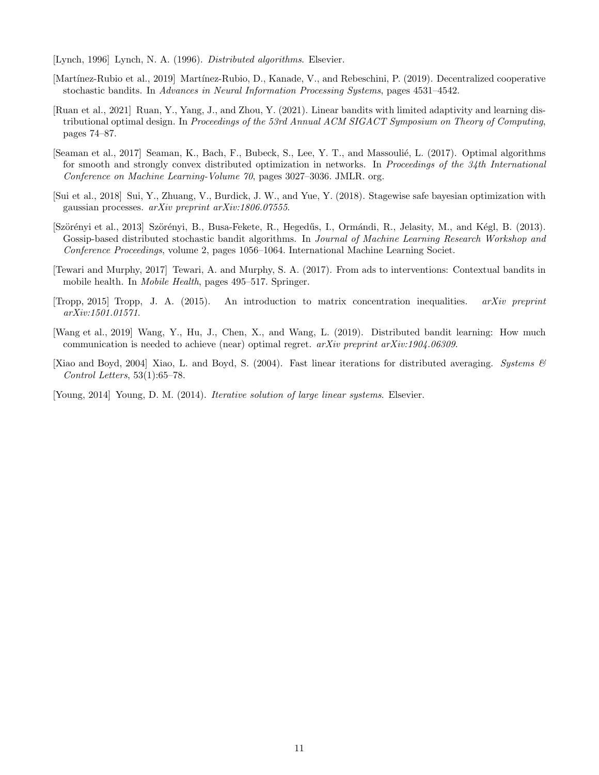<span id="page-10-6"></span>[Lynch, 1996] Lynch, N. A. (1996). Distributed algorithms. Elsevier.

- <span id="page-10-4"></span>[Martínez-Rubio et al., 2019] Martínez-Rubio, D., Kanade, V., and Rebeschini, P. (2019). Decentralized cooperative stochastic bandits. In Advances in Neural Information Processing Systems, pages 4531–4542.
- <span id="page-10-2"></span>[Ruan et al., 2021] Ruan, Y., Yang, J., and Zhou, Y. (2021). Linear bandits with limited adaptivity and learning distributional optimal design. In Proceedings of the 53rd Annual ACM SIGACT Symposium on Theory of Computing, pages 74–87.
- <span id="page-10-8"></span>[Seaman et al., 2017] Seaman, K., Bach, F., Bubeck, S., Lee, Y. T., and Massoulié, L. (2017). Optimal algorithms for smooth and strongly convex distributed optimization in networks. In Proceedings of the 34th International Conference on Machine Learning-Volume 70, pages 3027–3036. JMLR. org.
- <span id="page-10-1"></span>[Sui et al., 2018] Sui, Y., Zhuang, V., Burdick, J. W., and Yue, Y. (2018). Stagewise safe bayesian optimization with gaussian processes. arXiv preprint arXiv:1806.07555.
- <span id="page-10-5"></span>[Szörényi et al., 2013] Szörényi, B., Busa-Fekete, R., Hegedűs, I., Ormándi, R., Jelasity, M., and Kégl, B. (2013). Gossip-based distributed stochastic bandit algorithms. In Journal of Machine Learning Research Workshop and Conference Proceedings, volume 2, pages 1056–1064. International Machine Learning Societ.
- <span id="page-10-0"></span>[Tewari and Murphy, 2017] Tewari, A. and Murphy, S. A. (2017). From ads to interventions: Contextual bandits in mobile health. In *Mobile Health*, pages 495–517. Springer.
- <span id="page-10-10"></span>[Tropp, 2015] Tropp, J. A. (2015). An introduction to matrix concentration inequalities. arXiv preprint arXiv:1501.01571.
- <span id="page-10-3"></span>[Wang et al., 2019] Wang, Y., Hu, J., Chen, X., and Wang, L. (2019). Distributed bandit learning: How much communication is needed to achieve (near) optimal regret. arXiv preprint arXiv:1904.06309.
- <span id="page-10-7"></span>[Xiao and Boyd, 2004] Xiao, L. and Boyd, S. (2004). Fast linear iterations for distributed averaging. Systems  $\mathscr{C}$ Control Letters, 53(1):65–78.

<span id="page-10-9"></span>[Young, 2014] Young, D. M. (2014). Iterative solution of large linear systems. Elsevier.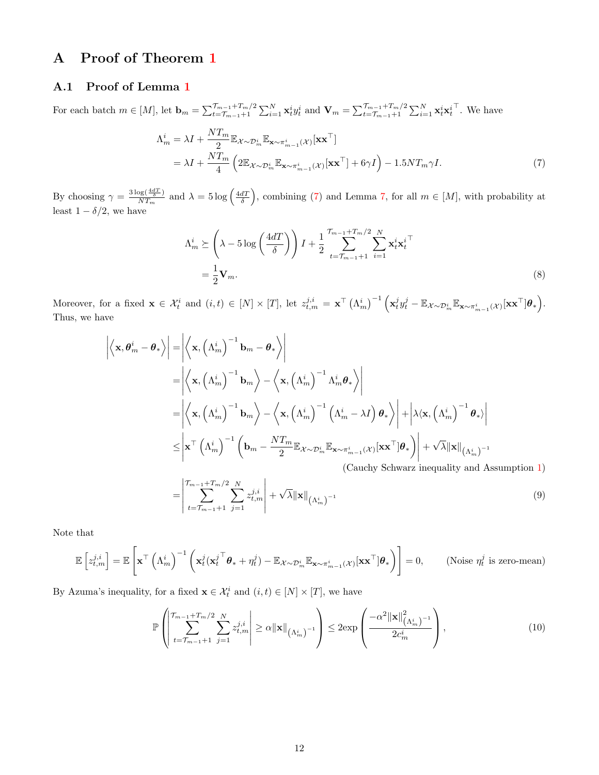# <span id="page-11-1"></span>A Proof of Theorem [1](#page-5-2)

#### <span id="page-11-0"></span>A.1 Proof of Lemma [1](#page-5-0)

For each batch  $m \in [M]$ , let  $\mathbf{b}_m = \sum_{t=\mathcal{T}_{m-1}+1}^{\mathcal{T}_{m-1}+T_m/2} \sum_{i=1}^N \mathbf{x}_t^i y_t^i$  and  $\mathbf{V}_m = \sum_{t=\mathcal{T}_{m-1}+1}^{\mathcal{T}_{m-1}+T_m/2} \sum_{i=1}^N \mathbf{x}_t^i \mathbf{x}_t^i$  $\ulcorner$ . We have

$$
\Lambda_m^i = \lambda I + \frac{NT_m}{2} \mathbb{E}_{\mathcal{X} \sim \mathcal{D}_m^i} \mathbb{E}_{\mathbf{x} \sim \pi_{m-1}^i(\mathcal{X})} [\mathbf{x} \mathbf{x}^\top] \n= \lambda I + \frac{NT_m}{4} \left( 2 \mathbb{E}_{\mathcal{X} \sim \mathcal{D}_m^i} \mathbb{E}_{\mathbf{x} \sim \pi_{m-1}^i(\mathcal{X})} [\mathbf{x} \mathbf{x}^\top] + 6\gamma I \right) - 1.5NT_m \gamma I.
$$
\n(7)

By choosing  $\gamma = \frac{3 \log(\frac{4dT}{\delta})}{NT}$  $\frac{\log(\frac{4dT}{\delta})}{NT_m}$  and  $\lambda = 5 \log(\frac{4dT}{\delta})$ , combining [\(7\)](#page-11-2) and Lemma [7,](#page-24-0) for all  $m \in [M]$ , with probability at least  $1 - \delta/2$ , we have

<span id="page-11-3"></span><span id="page-11-2"></span>
$$
\Lambda_m^i \succeq \left(\lambda - 5\log\left(\frac{4dT}{\delta}\right)\right)I + \frac{1}{2}\sum_{t=T_{m-1}+1}^{T_{m-1}+T_m/2}\sum_{i=1}^N \mathbf{x}_t^i \mathbf{x}_t^{i\top}
$$
\n
$$
= \frac{1}{2}\mathbf{V}_m.
$$
\n(8)

Moreover, for a fixed  $\mathbf{x} \in \mathcal{X}_t^i$  and  $(i,t) \in [N] \times [T]$ , let  $z_{t,m}^{j,i} = \mathbf{x}^\top (\Lambda_m^i)^{-1} \left( \mathbf{x}_t^j y_t^j - \mathbb{E}_{\mathcal{X} \sim \mathcal{D}_m^i} \mathbb{E}_{\mathbf{x} \sim \pi_{m-1}^i(\mathcal{X})} [\mathbf{x} \mathbf{x}^\top] \boldsymbol{\theta}_* \right)$ . Thus, we have

$$
\left| \left\langle \mathbf{x}, \theta_{m}^{i} - \theta_{*} \right\rangle \right| = \left| \left\langle \mathbf{x}, \left( \Lambda_{m}^{i} \right)^{-1} \mathbf{b}_{m} - \theta_{*} \right\rangle \right|
$$
\n
$$
= \left| \left\langle \mathbf{x}, \left( \Lambda_{m}^{i} \right)^{-1} \mathbf{b}_{m} \right\rangle - \left\langle \mathbf{x}, \left( \Lambda_{m}^{i} \right)^{-1} \Lambda_{m}^{i} \theta_{*} \right\rangle \right|
$$
\n
$$
= \left| \left\langle \mathbf{x}, \left( \Lambda_{m}^{i} \right)^{-1} \mathbf{b}_{m} \right\rangle - \left\langle \mathbf{x}, \left( \Lambda_{m}^{i} \right)^{-1} \left( \Lambda_{m}^{i} - \lambda I \right) \theta_{*} \right\rangle \right| + \left| \lambda \left\langle \mathbf{x}, \left( \Lambda_{m}^{i} \right)^{-1} \theta_{*} \right\rangle \right|
$$
\n
$$
\leq \left| \mathbf{x}^{\top} \left( \Lambda_{m}^{i} \right)^{-1} \left( \mathbf{b}_{m} - \frac{N T_{m}}{2} \mathbb{E}_{\mathcal{X} \sim \mathcal{D}_{m}^{i}} \mathbb{E}_{\mathbf{x} \sim \pi_{m-1}^{i}(\mathcal{X})} \left[ \mathbf{x} \mathbf{x}^{\top} | \theta_{*} \right] \right| + \sqrt{\lambda} ||\mathbf{x}||_{\left( \Lambda_{m}^{i} \right)^{-1}}
$$
\n(Cauchy Schwarz inequality and Assumption 1)\n
$$
= \left| \sum_{i} \sum_{i} \sum_{i} z_{i,m}^{i} \right| + \sqrt{\lambda} ||\mathbf{x}||_{\left( \Lambda_{i}^{i} \right)^{-1}}
$$
\n(9)

=       $t=\mathcal{T}_{m-1}+1$  $j=1$   $\lambda\|\mathbf{x}\|_{\left(\Lambda^i_m\right)}$ 

Note that

$$
\mathbb{E}\left[z_{t,m}^{j,i}\right] = \mathbb{E}\left[\mathbf{x}^{\top}\left(\Lambda_m^i\right)^{-1}\left(\mathbf{x}_t^j\left(\mathbf{x}_t^j^{\top}\boldsymbol{\theta}_* + \eta_t^j\right) - \mathbb{E}_{\mathcal{X}\sim\mathcal{D}_m^i}\mathbb{E}_{\mathbf{x}\sim\pi_{m-1}^i(\mathcal{X})}\left[\mathbf{x}\mathbf{x}^{\top}\right]\boldsymbol{\theta}_*\right)\right] = 0, \quad \text{(Noise }\eta_t^j \text{ is zero-mean)}
$$

By Azuma's inequality, for a fixed  $\mathbf{x} \in \mathcal{X}_t^i$  and  $(i, t) \in [N] \times [T]$ , we have

<span id="page-11-4"></span>
$$
\mathbb{P}\left(\left|\frac{\tau_{m-1}+T_m/2}{t=\tau_{m-1}+1}\sum_{j=1}^N z_{t,m}^{j,i}\right| \geq \alpha \|\mathbf{x}\|_{\left(\Lambda_m^i\right)^{-1}}\right) \leq 2 \exp\left(\frac{-\alpha^2 \|\mathbf{x}\|_{\left(\Lambda_m^i\right)^{-1}}^2}{2c_m^i}\right),\tag{10}
$$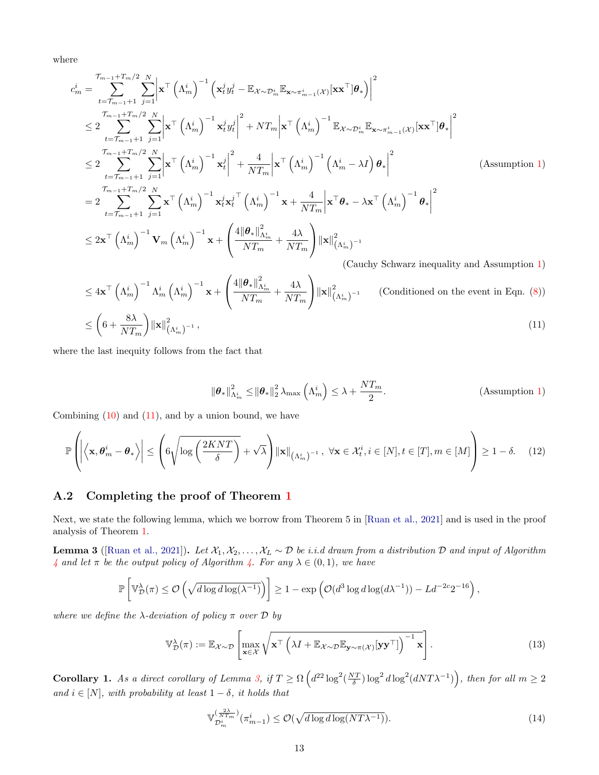where

$$
c_{m}^{i} = \sum_{t=T_{m-1}+1}^{T_{m-1}+T_{m}/2} \sum_{j=1}^{N} \left| \mathbf{x}^{\top} \left( \Lambda_{m}^{i} \right)^{-1} \left( \mathbf{x}_{t}^{j} y_{t}^{j} - \mathbb{E}_{\mathbf{x} \sim \mathcal{D}_{m}^{i}} \mathbb{E}_{\mathbf{x} \sim \pi_{m-1}^{i}(\mathbf{x})} \left[ \mathbf{x}^{\top} | \boldsymbol{\theta}_{*} \right] \right|^{2}
$$
  
\n
$$
\leq 2 \sum_{t=T_{m-1}+1}^{T_{m-1}+T_{m}/2} \sum_{j=1}^{N} \left| \mathbf{x}^{\top} \left( \Lambda_{m}^{i} \right)^{-1} \mathbf{x}_{t}^{j} y_{t}^{j} \right|^{2} + NT_{m} \left| \mathbf{x}^{\top} \left( \Lambda_{m}^{i} \right)^{-1} \mathbb{E}_{\mathbf{x} \sim \mathcal{D}_{m}^{i}} \mathbb{E}_{\mathbf{x} \sim \pi_{m-1}^{i}(\mathbf{x})} \left[ \mathbf{x}^{\top} | \boldsymbol{\theta}_{*} \right]^{2}
$$
  
\n
$$
\leq 2 \sum_{t=T_{m-1}+1}^{T_{m-1}+T_{m}/2} \sum_{j=1}^{N} \left| \mathbf{x}^{\top} \left( \Lambda_{m}^{i} \right)^{-1} \mathbf{x}_{t}^{j} \right|^{2} + \frac{4}{NT_{m}} \left| \mathbf{x}^{\top} \left( \Lambda_{m}^{i} \right)^{-1} \left( \Lambda_{m}^{i} - \lambda I \right) \boldsymbol{\theta}_{*} \right|^{2}
$$
  
\n
$$
= 2 \sum_{t=T_{m-1}+1}^{T_{m-1}+T_{m}/2} \sum_{j=1}^{N} \mathbf{x}^{\top} \left( \Lambda_{m}^{i} \right)^{-1} \mathbf{x}_{t}^{j} \mathbf{x}_{t}^{j} \left( \Lambda_{m}^{i} \right)^{-1} \mathbf{x} + \frac{4}{NT_{m}} \left| \mathbf{x}^{\top} \boldsymbol{\theta}_{*} - \lambda \mathbf{x}^{\top} \left( \Lambda_{m}^{i} \right)^{-1} \boldsymbol{\theta}_{*} \right|^{2}
$$

$$
\leq 4\mathbf{x}^{\top} \left(\Lambda_m^i\right)^{-1} \Lambda_m^i \left(\Lambda_m^i\right)^{-1} \mathbf{x} + \left(\frac{4\|\boldsymbol{\theta}_*\|_{\Lambda_m^i}^2}{NT_m} + \frac{4\lambda}{NT_m}\right) \|\mathbf{x}\|_{\left(\Lambda_m^i\right)^{-1}}^2 \qquad \text{(Conditional on the event in Eqn. (8))}
$$
\n
$$
\leq \left(6 + \frac{8\lambda}{NT_m}\right) \|\mathbf{x}\|_{\left(\Lambda_m^i\right)^{-1}}^2, \tag{11}
$$

where the last inequity follows from the fact that

<span id="page-12-0"></span>
$$
\|\boldsymbol{\theta}_{*}\|_{\Lambda_{m}^{i}}^{2} \leq \|\boldsymbol{\theta}_{*}\|_{2}^{2} \lambda_{\max}\left(\Lambda_{m}^{i}\right) \leq \lambda + \frac{NT_{m}}{2}.
$$
 (Assumption 1)

Combining  $(10)$  and  $(11)$ , and by a union bound, we have

$$
\mathbb{P}\left(\left|\left\langle \mathbf{x}, \boldsymbol{\theta}_{m}^{i} - \boldsymbol{\theta}_{*}\right\rangle\right| \leq \left(6\sqrt{\log\left(\frac{2KNT}{\delta}\right)} + \sqrt{\lambda}\right) \|\mathbf{x}\|_{\left(\Lambda_{m}^{i}\right)^{-1}}, \ \forall \mathbf{x} \in \mathcal{X}_{t}^{i}, i \in [N], t \in [T], m \in [M]\right) \geq 1 - \delta. \tag{12}
$$

#### A.2 Completing the proof of Theorem [1](#page-5-2)

Next, we state the following lemma, which we borrow from Theorem 5 in [\[Ruan et al., 2021\]](#page-10-2) and is used in the proof analysis of Theorem [1.](#page-5-2)

<span id="page-12-1"></span>**Lemma 3** ([\[Ruan et al., 2021\]](#page-10-2)). Let  $\mathcal{X}_1, \mathcal{X}_2, \ldots, \mathcal{X}_L \sim \mathcal{D}$  be i.i.d drawn from a distribution  $\mathcal D$  and input of Algorithm [4](#page-22-0) and let  $\pi$  be the output policy of Algorithm [4.](#page-22-0) For any  $\lambda \in (0,1)$ , we have

$$
\mathbb{P}\left[\mathbb{V}_{\mathcal{D}}^{\lambda}(\pi) \leq \mathcal{O}\left(\sqrt{d \log d \log(\lambda^{-1})}\right)\right] \geq 1 - \exp\left(\mathcal{O}(d^3 \log d \log(d\lambda^{-1})) - Ld^{-2c}2^{-16}\right),
$$

where we define the  $\lambda$ -deviation of policy  $\pi$  over  $\mathcal D$  by

$$
\mathbb{V}_{\mathcal{D}}^{\lambda}(\pi) := \mathbb{E}_{\mathcal{X} \sim \mathcal{D}} \left[ \max_{\mathbf{x} \in \mathcal{X}} \sqrt{\mathbf{x}^{\top} \left( \lambda I + \mathbb{E}_{\mathcal{X} \sim \mathcal{D}} \mathbb{E}_{\mathbf{y} \sim \pi(\mathcal{X})} [\mathbf{y} \mathbf{y}^{\top}] \right)^{-1} \mathbf{x}} \right]. \tag{13}
$$

Corollary 1. As a direct corollary of Lemma [3,](#page-12-1) if  $T \ge \Omega\left(d^{22} \log^2(\frac{NT}{\delta}) \log^2 d \log^2(dNT\lambda^{-1})\right)$ , then for all  $m \ge 2$ and  $i \in [N]$ , with probability at least  $1 - \delta$ , it holds that

<span id="page-12-2"></span>
$$
\mathbb{V}_{\mathcal{D}_{m}^{i}}^{\left(\frac{2\lambda}{NT_{m}}\right)}(\pi_{m-1}^{i}) \leq \mathcal{O}(\sqrt{d\log d\log (NT\lambda^{-1})}).\tag{14}
$$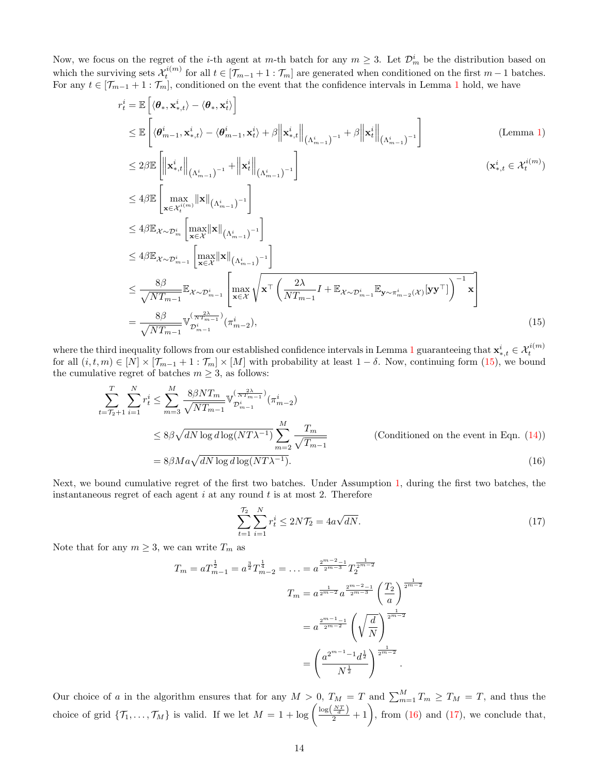Now, we focus on the regret of the *i*-th agent at m-th batch for any  $m \geq 3$ . Let  $\mathcal{D}_m^i$  be the distribution based on which the surviving sets  $\mathcal{X}_t^{i(m)}$  for all  $t \in [\mathcal{T}_{m-1} + 1 : \mathcal{T}_m]$  are generated when conditioned on the first  $m-1$  batches. For any  $t \in [\mathcal{T}_{m-1} + 1 : \mathcal{T}_m]$  $t \in [\mathcal{T}_{m-1} + 1 : \mathcal{T}_m]$  $t \in [\mathcal{T}_{m-1} + 1 : \mathcal{T}_m]$ , conditioned on the event that the confidence intervals in Lemma 1 hold, we have

$$
r_t^i = \mathbb{E}\left[ \langle \boldsymbol{\theta}_*, \mathbf{x}_{*,t}^i \rangle - \langle \boldsymbol{\theta}_*, \mathbf{x}_t^i \rangle \right]
$$
  
\n
$$
\leq \mathbb{E}\left[ \langle \boldsymbol{\theta}_{m-1}^i, \mathbf{x}_{*,t}^i \rangle - \langle \boldsymbol{\theta}_{m-1}^i, \mathbf{x}_t^i \rangle + \beta \left\| \mathbf{x}_{*,t}^i \right\|_{\left(\Lambda_{m-1}^i\right)^{-1}} + \beta \left\| \mathbf{x}_t^i \right\|_{\left(\Lambda_{m-1}^i\right)^{-1}} \right]
$$
(Lemma 1)

$$
\leq 2\beta \mathbb{E} \left[ \left\| \mathbf{x}_{*,t}^{i} \right\|_{(\Lambda_{m-1}^{i})^{-1}} + \left\| \mathbf{x}_{t}^{i} \right\|_{(\Lambda_{m-1}^{i})^{-1}} \right] \qquad (\mathbf{x}_{*,t}^{i} \in \mathcal{X}_{t}^{i(m)})
$$
\n
$$
\leq 4\beta \mathbb{E} \left[ \max_{\mathbf{x} \in \mathcal{X}_{t}^{i(m)}} \left\| \mathbf{x} \right\|_{(\Lambda_{m-1}^{i})^{-1}} \right]
$$
\n
$$
\leq 4\beta \mathbb{E}_{\mathcal{X} \sim \mathcal{D}_{m}^{i}} \left[ \max_{\mathbf{x} \in \mathcal{X}} \left\| \mathbf{x} \right\|_{(\Lambda_{m-1}^{i})^{-1}} \right]
$$
\n
$$
\leq 4\beta \mathbb{E}_{\mathcal{X} \sim \mathcal{D}_{m-1}^{i}} \left[ \max_{\mathbf{x} \in \mathcal{X}} \left\| \mathbf{x} \right\|_{(\Lambda_{m-1}^{i})^{-1}} \right]
$$
\n
$$
\leq \frac{8\beta}{\sqrt{NT_{m-1}}} \mathbb{E}_{\mathcal{X} \sim \mathcal{D}_{m-1}^{i}} \left[ \max_{\mathbf{x} \in \mathcal{X}} \sqrt{\mathbf{x}^{\top} \left( \frac{2\lambda}{NT_{m-1}} I + \mathbb{E}_{\mathcal{X} \sim \mathcal{D}_{m-1}^{i}} \mathbb{E}_{\mathbf{y} \sim \pi_{m-2}^{i}(\mathcal{X})} [\mathbf{y} \mathbf{y}^{\top}] \right)^{-1} \mathbf{x} \right]
$$
\n
$$
= \frac{8\beta}{\sqrt{NT_{m-1}}} \mathbb{V}_{\mathcal{D}_{m-1}^{i}} \left[ \mathbb{V}_{m-1}^{i} \left( \pi_{m-2}^{i} \right), \qquad (15)
$$

where the third inequality follows from our established confidence intervals in Lemma [1](#page-5-0) guaranteeing that  $\mathbf{x}_{*,t}^i \in \mathcal{X}_t^{i(m)}$ <br>for all  $(i, t, m) \in [N] \times [\mathcal{T}_{m-1} + 1 : \mathcal{T}_m] \times [M]$  with probability at least  $1 - \delta$ . Now, c the cumulative regret of batches  $m \geq 3$ , as follows:

$$
\sum_{t=T_2+1}^{T} \sum_{i=1}^{N} r_i^i \le \sum_{m=3}^{M} \frac{8\beta N T_m}{\sqrt{N T_{m-1}}} \mathbb{V}_{\mathcal{D}_{m-1}^i}^{(\frac{2\lambda}{N T_{m-1}})}(\pi_{m-2}^i)
$$
\n
$$
\le 8\beta \sqrt{dN \log d \log (NT\lambda^{-1})} \sum_{m=2}^{M} \frac{T_m}{\sqrt{T_{m-1}}} \qquad \text{(Conditional on the event in Eqn. (14))}
$$
\n
$$
= 8\beta M a \sqrt{dN \log d \log (NT\lambda^{-1})}. \qquad (16)
$$

Next, we bound cumulative regret of the first two batches. Under Assumption [1,](#page-1-0) during the first two batches, the instantaneous regret of each agent  $i$  at any round  $t$  is at most 2. Therefore

<span id="page-13-2"></span><span id="page-13-1"></span><span id="page-13-0"></span>
$$
\sum_{t=1}^{\mathcal{T}_2} \sum_{i=1}^N r_t^i \le 2N\mathcal{T}_2 = 4a\sqrt{dN}.
$$
 (17)

Note that for any  $m \geq 3$ , we can write  $T_m$  as

$$
T_m = a T_{m-1}^{\frac{1}{2}} = a^{\frac{3}{2}} T_{m-2}^{\frac{1}{4}} = \dots = a^{\frac{2^{m-2}-1}{2^{m-3}}} T_2^{\frac{1}{2^{m-2}}}
$$

$$
T_m = a^{\frac{1}{2^{m-2}}} a^{\frac{2^{m-2}-1}{2^{m-3}}} \left(\frac{T_2}{a}\right)^{\frac{1}{2^{m-2}}}
$$

$$
= a^{\frac{2^{m-1}-1}{2^{m-2}}} \left(\sqrt{\frac{d}{N}}\right)^{\frac{1}{2^{m-2}}}
$$

$$
= \left(\frac{a^{2^{m-1}-1} d^{\frac{1}{2}}}{N^{\frac{1}{2}}}\right)^{\frac{1}{2^{m-2}}}.
$$

Our choice of a in the algorithm ensures that for any  $M > 0$ ,  $T_M = T$  and  $\sum_{m=1}^{M} T_m \ge T_M = T$ , and thus the choice of grid  $\{\mathcal{T}_1,\ldots,\mathcal{T}_M\}$  is valid. If we let  $M=1+\log\left(\frac{\log(\frac{N\mathcal{T}}{d})}{2}+1\right)$ , from [\(16\)](#page-13-1) and [\(17\)](#page-13-2), we conclude that,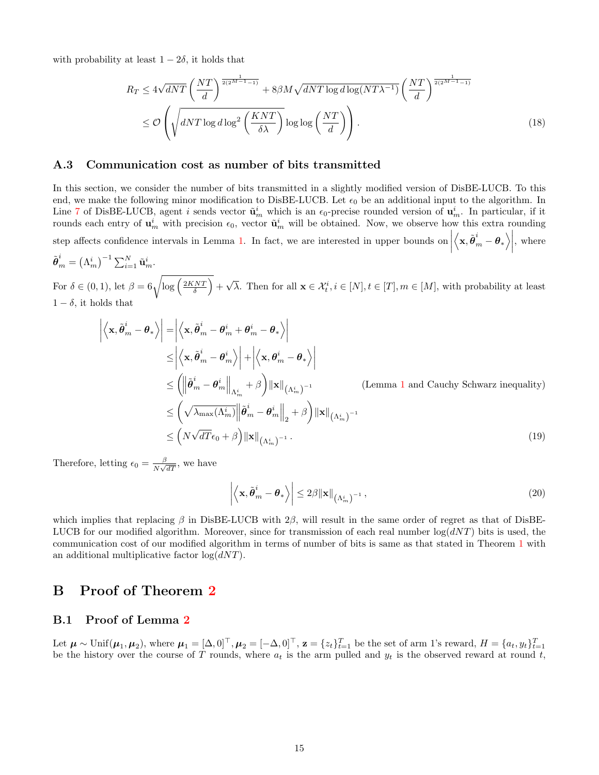with probability at least  $1 - 2\delta$ , it holds that

$$
R_T \le 4\sqrt{dNT} \left(\frac{NT}{d}\right)^{\frac{1}{2(2^{M-1}-1)}} + 8\beta M \sqrt{dNT \log d \log (NT\lambda^{-1})} \left(\frac{NT}{d}\right)^{\frac{1}{2(2^{M-1}-1)}}
$$
  

$$
\le \mathcal{O}\left(\sqrt{dNT \log d \log^2 \left(\frac{KNT}{\delta\lambda}\right)} \log \log \left(\frac{NT}{d}\right)\right).
$$
 (18)

#### <span id="page-14-1"></span>A.3 Communication cost as number of bits transmitted

In this section, we consider the number of bits transmitted in a slightly modified version of DisBE-LUCB. To this end, we make the following minor modification to DisBE-LUCB. Let  $\epsilon_0$  be an additional input to the algorithm. In Line [7](#page-4-3) of DisBE-LUCB, agent i sends vector  $\tilde{\mathbf{u}}_m^i$  which is an  $\epsilon_0$ -precise rounded version of  $\mathbf{u}_m^i$ . In particular, if it rounds each entry of  $\mathbf{u}_m^i$  with precision  $\epsilon_0$ , vector  $\tilde{\mathbf{u}}_m^i$  will be obtained. Now, we observe how this extra rounding step affects confidence intervals in Lemma [1.](#page-5-0) In fact, we are interested in upper bounds on  $\left. \left\langle \mathbf{x},\tilde{\boldsymbol{\theta}}_{m}^{i}-\boldsymbol{\theta }_{\ast }\right\rangle \right\vert$ , where

$$
\tilde{\boldsymbol{\theta}}_m^i = \left(\Lambda_m^i\right)^{-1} \sum_{i=1}^N \tilde{\mathbf{u}}_m^i.
$$
  
For  $\delta \in (0, 1)$ , let  $\beta = 6\sqrt{\log\left(\frac{2KNT}{\delta}\right)} + \sqrt{\lambda}$ . Then for all  $\mathbf{x} \in \mathcal{X}_t^i, i \in [N], t \in [T], m \in [M]$ , with probability at least  $1 - \delta$ , it holds that

$$
\left| \left\langle \mathbf{x}, \tilde{\boldsymbol{\theta}}_m^i - \boldsymbol{\theta}_* \right\rangle \right| = \left| \left\langle \mathbf{x}, \tilde{\boldsymbol{\theta}}_m^i - \boldsymbol{\theta}_m^i + \boldsymbol{\theta}_m^i - \boldsymbol{\theta}_* \right\rangle \right|
$$
\n
$$
\leq \left| \left\langle \mathbf{x}, \tilde{\boldsymbol{\theta}}_m^i - \boldsymbol{\theta}_m^i \right\rangle \right| + \left| \left\langle \mathbf{x}, \boldsymbol{\theta}_m^i - \boldsymbol{\theta}_* \right\rangle \right|
$$
\n
$$
\leq \left( \left\| \tilde{\boldsymbol{\theta}}_m^i - \boldsymbol{\theta}_m^i \right\|_{\Lambda_m^i} + \beta \right) \|\mathbf{x}\|_{\left(\Lambda_m^i\right)^{-1}} \qquad \text{(Lemma 1 and Cauchy Schwarz inequality)}
$$
\n
$$
\leq \left( \sqrt{\lambda_{\max}(\Lambda_m^i)} \left\| \tilde{\boldsymbol{\theta}}_m^i - \boldsymbol{\theta}_m^i \right\|_2 + \beta \right) \|\mathbf{x}\|_{\left(\Lambda_m^i\right)^{-1}}
$$
\n
$$
\leq \left( N\sqrt{dT} \epsilon_0 + \beta \right) \|\mathbf{x}\|_{\left(\Lambda_m^i\right)^{-1}} . \qquad (19)
$$

Therefore, letting  $\epsilon_0 = \frac{\beta}{N}$  $\frac{\beta}{N\sqrt{dT}}$ , we have

$$
\left| \left\langle \mathbf{x}, \tilde{\boldsymbol{\theta}}_m^i - \boldsymbol{\theta}_* \right\rangle \right| \le 2\beta \|\mathbf{x}\|_{\left(\Lambda_m^i\right)^{-1}},\tag{20}
$$

which implies that replacing  $\beta$  in DisBE-LUCB with 2 $\beta$ , will result in the same order of regret as that of DisBE-LUCB for our modified algorithm. Moreover, since for transmission of each real number  $log(dNT)$  bits is used, the communication cost of our modified algorithm in terms of number of bits is same as that stated in Theorem [1](#page-5-2) with an additional multiplicative factor  $log(dNT)$ .

# <span id="page-14-0"></span>B Proof of Theorem [2](#page-6-1)

#### B.1 Proof of Lemma [2](#page-6-2)

Let  $\mu \sim \text{Unif}(\mu_1, \mu_2)$ , where  $\mu_1 = [\Delta, 0]^{\top}, \mu_2 = [-\Delta, 0]^{\top}, \mathbf{z} = \{z_t\}_{t=1}^T$  be the set of arm 1's reward,  $H = \{a_t, y_t\}_{t=1}^T$  be the history over the course of T rounds, where  $a_t$  is the arm pulled and  $y_t$  is t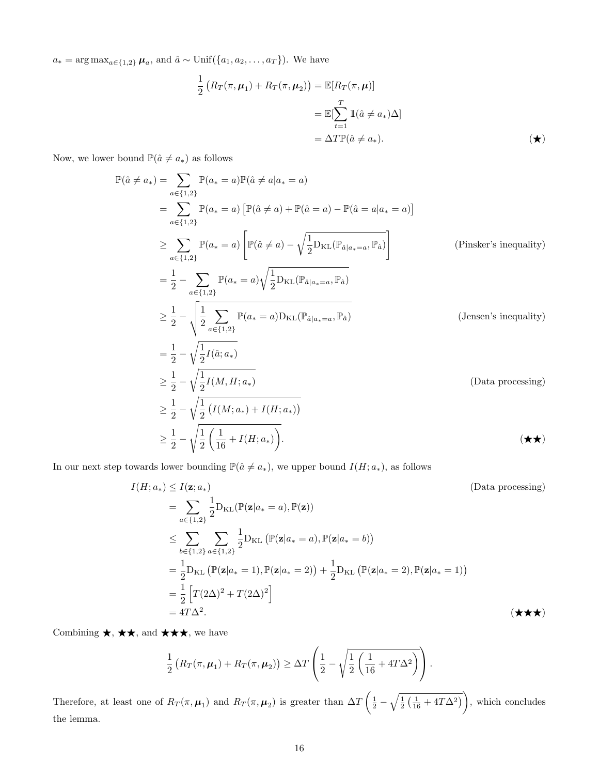$a_* = \arg \max_{a \in \{1,2\}} \mu_a$ , and  $\hat{a} \sim \text{Unif}(\{a_1, a_2, \ldots, a_T\})$ . We have

$$
\frac{1}{2} \left( R_T(\pi, \mu_1) + R_T(\pi, \mu_2) \right) = \mathbb{E}[R_T(\pi, \mu)]
$$

$$
= \mathbb{E}[\sum_{t=1}^T \mathbb{1}(\hat{a} \neq a_*) \Delta]
$$

$$
= \Delta T \mathbb{P}(\hat{a} \neq a_*).
$$

Now, we lower bound  $\mathbb{P}(\hat{a} \neq a_*)$  as follows

$$
\mathbb{P}(\hat{a} \neq a_*) = \sum_{a \in \{1,2\}} \mathbb{P}(a_* = a) \mathbb{P}(\hat{a} \neq a | a_* = a)
$$
\n
$$
= \sum_{a \in \{1,2\}} \mathbb{P}(a_* = a) \left[ \mathbb{P}(\hat{a} \neq a) + \mathbb{P}(\hat{a} = a) - \mathbb{P}(\hat{a} = a | a_* = a) \right]
$$
\n
$$
\geq \sum_{a \in \{1,2\}} \mathbb{P}(a_* = a) \left[ \mathbb{P}(\hat{a} \neq a) - \sqrt{\frac{1}{2} D_{\text{KL}}(\mathbb{P}_{\hat{a}|a_* = a}, \mathbb{P}_{\hat{a}})} \right] \qquad \text{(Pinsker's inequality)}
$$
\n
$$
= \frac{1}{2} - \sum_{a \in \{1,2\}} \mathbb{P}(a_* = a) \sqrt{\frac{1}{2} D_{\text{KL}}(\mathbb{P}_{\hat{a}|a_* = a}, \mathbb{P}_{\hat{a}})} \qquad \text{(Pinsker's inequality)}
$$
\n
$$
\geq \frac{1}{2} - \sqrt{\frac{1}{2} \sum_{a \in \{1,2\}} \mathbb{P}(a_* = a) D_{\text{KL}}(\mathbb{P}_{\hat{a}|a_* = a}, \mathbb{P}_{\hat{a}})} \qquad \text{(Jensen's inequality)}
$$
\n
$$
= \frac{1}{2} - \sqrt{\frac{1}{2} I(\hat{a}; a_*)} \qquad \qquad \geq \frac{1}{2} - \sqrt{\frac{1}{2} I(M, H; a_*)} \qquad \qquad \text{(Data processing)}
$$
\n
$$
\geq \frac{1}{2} - \sqrt{\frac{1}{2} (I(M; a_*) + I(H; a_*))} \qquad \qquad \text{(Data processing)}
$$

In our next step towards lower bounding  $\mathbb{P}(\hat{a} \neq a_*)$ , we upper bound  $I(H; a_*)$ , as follows

$$
I(H; a_{*}) \leq I(\mathbf{z}; a_{*})
$$
\n
$$
= \sum_{a \in \{1,2\}} \frac{1}{2} D_{\mathrm{KL}}(\mathbb{P}(\mathbf{z}|a_{*}=a), \mathbb{P}(\mathbf{z}))
$$
\n
$$
\leq \sum_{b \in \{1,2\}} \sum_{a \in \{1,2\}} \frac{1}{2} D_{\mathrm{KL}}(\mathbb{P}(\mathbf{z}|a_{*}=a), \mathbb{P}(\mathbf{z}|a_{*}=b))
$$
\n
$$
= \frac{1}{2} D_{\mathrm{KL}}(\mathbb{P}(\mathbf{z}|a_{*}=1), \mathbb{P}(\mathbf{z}|a_{*}=2)) + \frac{1}{2} D_{\mathrm{KL}}(\mathbb{P}(\mathbf{z}|a_{*}=2), \mathbb{P}(\mathbf{z}|a_{*}=1))
$$
\n
$$
= \frac{1}{2} \left[ T(2\Delta)^{2} + T(2\Delta)^{2} \right]
$$
\n
$$
= 4T\Delta^{2}.
$$
\n(\star \star \star)

Combining  $\star$ ,  $\star \star$ , and  $\star \star \star$ , we have

$$
\frac{1}{2}\left(R_T(\pi,\mu_1)+R_T(\pi,\mu_2)\right)\geq \Delta T\left(\frac{1}{2}-\sqrt{\frac{1}{2}\left(\frac{1}{16}+4T\Delta^2\right)}\right).
$$

Therefore, at least one of  $R_T(\pi,\mu_1)$  and  $R_T(\pi,\mu_2)$  is greater than  $\Delta T \left( \frac{1}{2} - \sqrt{\frac{1}{2} \left( \frac{1}{16} + 4T \Delta^2 \right)} \right)$ , which concludes the lemma.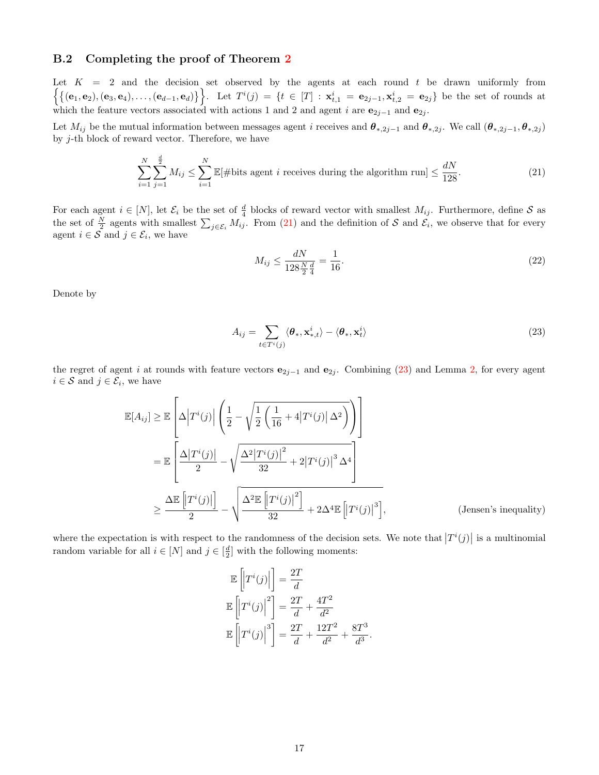#### B.2 Completing the proof of Theorem [2](#page-6-1)

Let  $K = 2$  and the decision set observed by the agents at each round t be drawn uniformly from  $\left\{ \{(\mathbf{e}_1,\mathbf{e}_2),(\mathbf{e}_3,\mathbf{e}_4),\ldots,(\mathbf{e}_{d-1},\mathbf{e}_d)\}\right\}$ . Let  $T^i(j) = \{t \in [T] : \mathbf{x}_{t,1}^i = \mathbf{e}_{2j-1}, \mathbf{x}_{t,2}^i = \mathbf{e}_{2j}\}$  be the set of rounds at which the feature vectors associated with actions 1 and 2 and agent i are  $e_{2j-1}$  and  $e_{2j}$ .

Let  $M_{ij}$  be the mutual information between messages agent *i* receives and  $\theta_{*,2j-1}$  and  $\theta_{*,2j}$ . We call  $(\theta_{*,2j-1}, \theta_{*,2j})$ by  $j$ -th block of reward vector. Therefore, we have

$$
\sum_{i=1}^{N} \sum_{j=1}^{\frac{d}{2}} M_{ij} \le \sum_{i=1}^{N} \mathbb{E}[\# \text{bits agent } i \text{ receives during the algorithm run}] \le \frac{dN}{128}.\tag{21}
$$

For each agent  $i \in [N]$ , let  $\mathcal{E}_i$  be the set of  $\frac{d}{4}$  blocks of reward vector with smallest  $M_{ij}$ . Furthermore, define  $S$  as the set of  $\frac{N}{2}$  agents with smallest  $\sum_{j\in\mathcal{E}_i} M_{ij}$ . From [\(21\)](#page-16-0) and the definition of S and  $\mathcal{E}_i$ , we observe that for every agent  $i \in \mathcal{S}$  and  $j \in \mathcal{E}_i$ , we have

<span id="page-16-1"></span><span id="page-16-0"></span>
$$
M_{ij} \le \frac{dN}{128\frac{N}{2}\frac{d}{4}} = \frac{1}{16}.\tag{22}
$$

Denote by

$$
A_{ij} = \sum_{t \in T^i(j)} \langle \boldsymbol{\theta}_*, \mathbf{x}_{*,t}^i \rangle - \langle \boldsymbol{\theta}_*, \mathbf{x}_t^i \rangle \tag{23}
$$

the regret of agent i at rounds with feature vectors  $e_{2j-1}$  and  $e_{2j}$ . Combining [\(23\)](#page-16-1) and Lemma [2,](#page-6-2) for every agent  $i \in \mathcal{S}$  and  $j \in \mathcal{E}_i$ , we have

$$
\mathbb{E}[A_{ij}] \geq \mathbb{E}\left[\Delta \left|T^{i}(j)\right| \left(\frac{1}{2} - \sqrt{\frac{1}{2} \left(\frac{1}{16} + 4|T^{i}(j)| \Delta^{2}\right)}\right)\right]
$$
\n
$$
= \mathbb{E}\left[\frac{\Delta |T^{i}(j)|}{2} - \sqrt{\frac{\Delta^{2} |T^{i}(j)|^{2}}{32} + 2|T^{i}(j)|^{3} \Delta^{4}}\right]
$$
\n
$$
\geq \frac{\Delta \mathbb{E}\left[|T^{i}(j)|\right]}{2} - \sqrt{\frac{\Delta^{2} \mathbb{E}\left[|T^{i}(j)|^{2}\right]}{32} + 2\Delta^{4} \mathbb{E}\left[|T^{i}(j)|^{3}\right]},
$$
\n(Jensen's inequality)

where the expectation is with respect to the randomness of the decision sets. We note that  $|T^i(j)|$  is a multinomial random variable for all  $i \in [N]$  and  $j \in \left[\frac{d}{2}\right]$  with the following moments:

$$
\mathbb{E}\left[T^{i}(j)\right] = \frac{2T}{d}
$$

$$
\mathbb{E}\left[T^{i}(j)\right]^{2} = \frac{2T}{d} + \frac{4T^{2}}{d^{2}}
$$

$$
\mathbb{E}\left[T^{i}(j)\right]^{3} = \frac{2T}{d} + \frac{12T^{2}}{d^{2}} + \frac{8T^{3}}{d^{3}}.
$$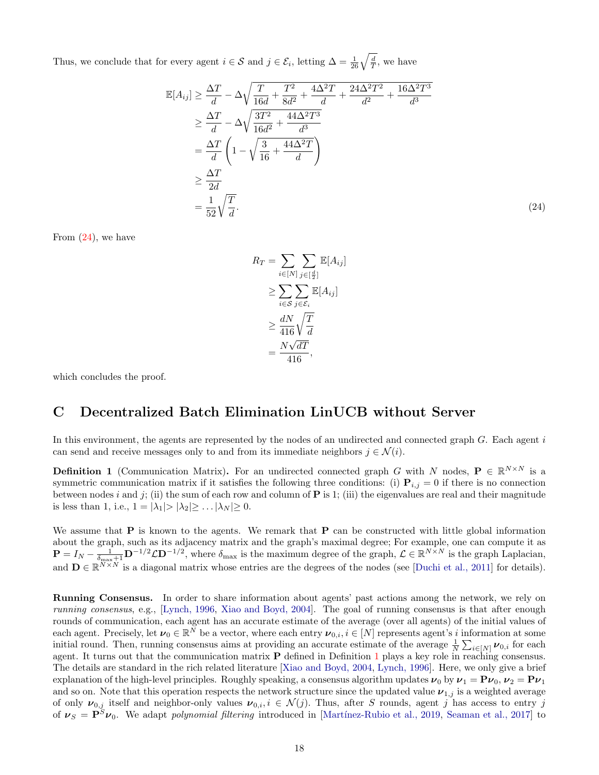Thus, we conclude that for every agent  $i \in \mathcal{S}$  and  $j \in \mathcal{E}_i$ , letting  $\Delta = \frac{1}{26} \sqrt{\frac{d}{T}}$ , we have

$$
\mathbb{E}[A_{ij}] \geq \frac{\Delta T}{d} - \Delta \sqrt{\frac{T}{16d} + \frac{T^2}{8d^2} + \frac{4\Delta^2 T}{d} + \frac{24\Delta^2 T^2}{d^2} + \frac{16\Delta^2 T^3}{d^3}} \geq \frac{\Delta T}{d} - \Delta \sqrt{\frac{3T^2}{16d^2} + \frac{44\Delta^2 T^3}{d^3}} \equiv \frac{\Delta T}{d} \left( 1 - \sqrt{\frac{3}{16} + \frac{44\Delta^2 T}{d}} \right) \geq \frac{\Delta T}{2d} \equiv \frac{1}{2d} \sqrt{\frac{T}{d}}.
$$
\n(24)

From  $(24)$ , we have

<span id="page-17-1"></span>
$$
R_T = \sum_{i \in [N]} \sum_{j \in [\frac{d}{2}]} \mathbb{E}[A_{ij}]
$$
  
\n
$$
\geq \sum_{i \in S} \sum_{j \in \mathcal{E}_i} \mathbb{E}[A_{ij}]
$$
  
\n
$$
\geq \frac{dN}{416} \sqrt{\frac{T}{d}}
$$
  
\n
$$
= \frac{N\sqrt{dT}}{416},
$$

which concludes the proof.

# <span id="page-17-0"></span>C Decentralized Batch Elimination LinUCB without Server

In this environment, the agents are represented by the nodes of an undirected and connected graph  $G$ . Each agent  $i$ can send and receive messages only to and from its immediate neighbors  $j \in \mathcal{N}(i)$ .

<span id="page-17-2"></span>**Definition 1** (Communication Matrix). For an undirected connected graph G with N nodes,  $P \in \mathbb{R}^{N \times N}$  is a symmetric communication matrix if it satisfies the following three conditions: (i)  $\mathbf{P}_{i,j} = 0$  if there is no connection between nodes i and j; (ii) the sum of each row and column of  $P$  is 1; (iii) the eigenvalues are real and their magnitude is less than 1, i.e.,  $1 = |\lambda_1| > |\lambda_2| \geq \ldots |\lambda_N| \geq 0$ .

We assume that  $P$  is known to the agents. We remark that  $P$  can be constructed with little global information about the graph, such as its adjacency matrix and the graph's maximal degree; For example, one can compute it as  $\mathbf{P} = I_N - \frac{1}{\delta_{\text{max}}+1} \mathbf{D}^{-1/2} \mathcal{L} \mathbf{D}^{-1/2}$ , where  $\delta_{\text{max}}$  is the maximum degree of the graph,  $\mathcal{L} \in \mathbb{R}^{N \times N}$  is the graph Laplacian, and  $\mathbf{D} \in \mathbb{R}^{N \times N}$  is a diagonal matrix whose entries are the degrees of the nodes (see [\[Duchi et al., 2011\]](#page-9-16) for details).

Running Consensus. In order to share information about agents' past actions among the network, we rely on running consensus, e.g., [\[Lynch, 1996,](#page-10-6) [Xiao and Boyd, 2004\]](#page-10-7). The goal of running consensus is that after enough rounds of communication, each agent has an accurate estimate of the average (over all agents) of the initial values of each agent. Precisely, let  $\boldsymbol{\nu}_0 \in \mathbb{R}^N$  be a vector, where each entry  $\boldsymbol{\nu}_{0,i}, i \in [N]$  represents agent's i information at some initial round. Then, running consensus aims at providing an accurate estimate of the average  $\frac{1}{N} \sum_{i \in [N]} \nu_{0,i}$  for each agent. It turns out that the communication matrix P defined in Definition [1](#page-17-2) plays a key role in reaching consensus. The details are standard in the rich related literature [\[Xiao and Boyd, 2004,](#page-10-7) [Lynch, 1996\]](#page-10-6). Here, we only give a brief explanation of the high-level principles. Roughly speaking, a consensus algorithm updates  $\nu_0$  by  $\nu_1 = \mathbf{P}\nu_0$ ,  $\nu_2 = \mathbf{P}\nu_1$ and so on. Note that this operation respects the network structure since the updated value  $\nu_{1,j}$  is a weighted average of only  $\nu_{0,j}$  itself and neighbor-only values  $\nu_{0,i}, i \in \mathcal{N}(j)$ . Thus, after S rounds, agent j has access to entry j of  $\nu_S = P^S \nu_0$ . We adapt *polynomial filtering* introduced in [Martínez-Rubio et al., 2019, [Seaman et al., 2017\]](#page-10-8) to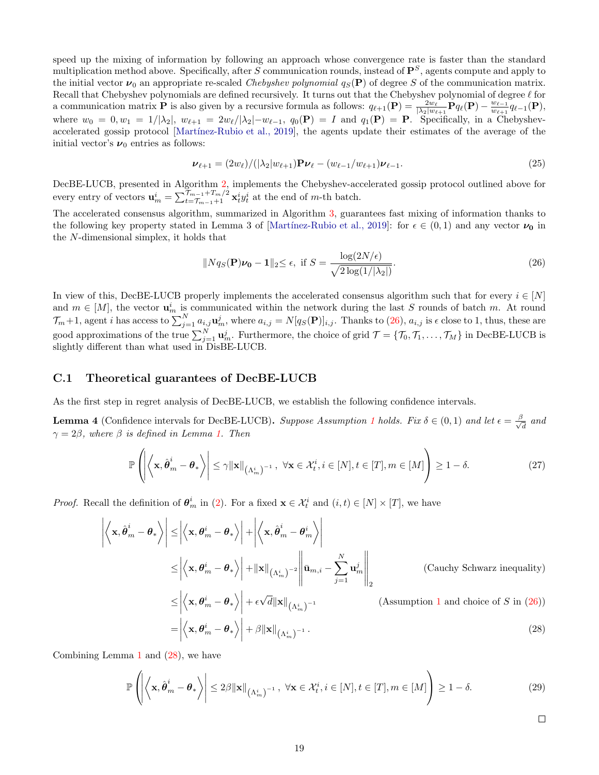speed up the mixing of information by following an approach whose convergence rate is faster than the standard multiplication method above. Specifically, after S communication rounds, instead of  $\mathbf{P}^S$ , agents compute and apply to the initial vector  $\nu_0$  an appropriate re-scaled *Chebyshev polynomial*  $q_S(\mathbf{P})$  of degree S of the communication matrix. Recall that Chebyshev polynomials are defined recursively. It turns out that the Chebyshev polynomial of degree  $\ell$  for a communication matrix **P** is also given by a recursive formula as follows:  $q_{\ell+1}(\mathbf{P}) = \frac{2w_{\ell}}{|\lambda_2|w_{\ell+1}} \mathbf{P} q_{\ell}(\mathbf{P}) - \frac{w_{\ell-1}}{w_{\ell+1}}$  $\frac{w_{\ell-1}}{w_{\ell+1}} q_{\ell-1}(\mathbf{P}),$ where  $w_0 = 0, w_1 = 1/|\lambda_2|, w_{\ell+1} = 2w_{\ell}/|\lambda_2| - w_{\ell-1}, q_0(\mathbf{P}) = I$  and  $q_1(\mathbf{P}) = \mathbf{P}$ . Specifically, in a Chebyshevaccelerated gossip protocol [Martínez-Rubio et al., 2019], the agents update their estimates of the average of the initial vector's  $\nu_0$  entries as follows:

$$
\nu_{\ell+1} = (2w_{\ell})/(|\lambda_2|w_{\ell+1})\mathbf{P}\nu_{\ell} - (w_{\ell-1}/w_{\ell+1})\nu_{\ell-1}.
$$
\n(25)

DecBE-LUCB, presented in Algorithm [2,](#page-19-0) implements the Chebyshev-accelerated gossip protocol outlined above for every entry of vectors  $\mathbf{u}_m^i = \sum_{t=T_{m-1}+1}^{T_{m-1}+T_m/2} \mathbf{x}_t^i y_t^i$  at the end of *m*-th batch.

The accelerated consensus algorithm, summarized in Algorithm [3,](#page-21-1) guarantees fast mixing of information thanks to the following key property stated in Lemma 3 of [Martínez-Rubio et al., 2019]: for  $\epsilon \in (0,1)$  and any vector  $\nu_0$  in the N-dimensional simplex, it holds that

<span id="page-18-0"></span>
$$
||Nq_S(\mathbf{P})\boldsymbol{\nu_0} - \mathbf{1}||_2 \le \epsilon, \text{ if } S = \frac{\log(2N/\epsilon)}{\sqrt{2\log(1/|\lambda_2|)}}.
$$
\n(26)

In view of this, DecBE-LUCB properly implements the accelerated consensus algorithm such that for every  $i \in [N]$ and  $m \in [M]$ , the vector  $\mathbf{u}_m^i$  is communicated within the network during the last S rounds of batch m. At round  $\mathcal{T}_{m}+1$ , agent *i* has access to  $\sum_{j=1}^{N} a_{i,j} \mathbf{u}_{m}^{j}$ , where  $a_{i,j} = N[q_S(\mathbf{P})]_{i,j}$ . Thanks to [\(26\)](#page-18-0),  $a_{i,j}$  is  $\epsilon$  close to 1, thus, these are good approximations of the true  $\sum_{j=1}^{N} \mathbf{u}_{m}^{j}$ . Furthermore, the choice of grid  $\mathcal{T} = \{\mathcal{T}_0, \mathcal{T}_1, \ldots, \mathcal{T}_M\}$  in DecBE-LUCB is slightly different than what used in DisBE-LUCB.

#### C.1 Theoretical guarantees of DecBE-LUCB

As the first step in regret analysis of DecBE-LUCB, we establish the following confidence intervals.

<span id="page-18-2"></span>**Lemma 4** (Confidence intervals for DecBE-LUCB). Suppose Assumption [1](#page-1-0) holds. Fix  $\delta \in (0,1)$  and let  $\epsilon = \frac{\beta}{\sqrt{2}}$  $\frac{1}{d}$  and  $\gamma = 2\beta$ , where  $\beta$  is defined in Lemma [1.](#page-5-0) Then

$$
\mathbb{P}\left(\left|\left\langle \mathbf{x}, \hat{\boldsymbol{\theta}}_m^i - \boldsymbol{\theta}_* \right\rangle\right| \leq \gamma \|\mathbf{x}\|_{\left(\Lambda_m^i\right)^{-1}}, \ \forall \mathbf{x} \in \mathcal{X}_t^i, i \in [N], t \in [T], m \in [M]\right) \geq 1 - \delta. \tag{27}
$$

*Proof.* Recall the definition of  $\theta_m^i$  in [\(2\)](#page-4-1). For a fixed  $\mathbf{x} \in \mathcal{X}_t^i$  and  $(i, t) \in [N] \times [T]$ , we have

$$
\left| \left\langle \mathbf{x}, \hat{\boldsymbol{\theta}}_m^i - \boldsymbol{\theta}_* \right\rangle \right| \le \left| \left\langle \mathbf{x}, \boldsymbol{\theta}_m^i - \boldsymbol{\theta}_* \right\rangle \right| + \left| \left\langle \mathbf{x}, \hat{\boldsymbol{\theta}}_m^i - \boldsymbol{\theta}_m^i \right\rangle \right|
$$
\n
$$
\le \left| \left\langle \mathbf{x}, \boldsymbol{\theta}_m^i - \boldsymbol{\theta}_* \right\rangle \right| + \left\| \mathbf{x} \right\|_{\left(\Lambda_m^i\right)^{-2}} \left\| \bar{\mathbf{u}}_{m,i} - \sum_{j=1}^N \mathbf{u}_m^j \right\|_2 \qquad \text{(Cauchy Schwarz inequality)}
$$
\n
$$
\le \left| \left\langle \mathbf{x}, \boldsymbol{\theta}_m^i - \boldsymbol{\theta}_* \right\rangle \right| + \epsilon \sqrt{d} \|\mathbf{x}\|_{\left(\Lambda_m^i\right)^{-1}} \qquad \text{(Assumption 1 and choice of } S \text{ in (26))}
$$
\n
$$
= \left| \left\langle \mathbf{x}, \boldsymbol{\theta}_m^i - \boldsymbol{\theta}_* \right\rangle \right| + \beta \|\mathbf{x}\|_{\left(\Lambda_m^i\right)^{-1}}. \qquad (28)
$$

Combining Lemma [1](#page-5-0) and [\(28\)](#page-18-1), we have

$$
\mathbb{P}\left(\left|\left\langle \mathbf{x}, \hat{\boldsymbol{\theta}}_m^i - \boldsymbol{\theta}_* \right\rangle\right| \le 2\beta \|\mathbf{x}\|_{\left(\Lambda_m^i\right)^{-1}}, \ \forall \mathbf{x} \in \mathcal{X}_t^i, i \in [N], t \in [T], m \in [M]\right) \ge 1 - \delta. \tag{29}
$$

<span id="page-18-1"></span> $\Box$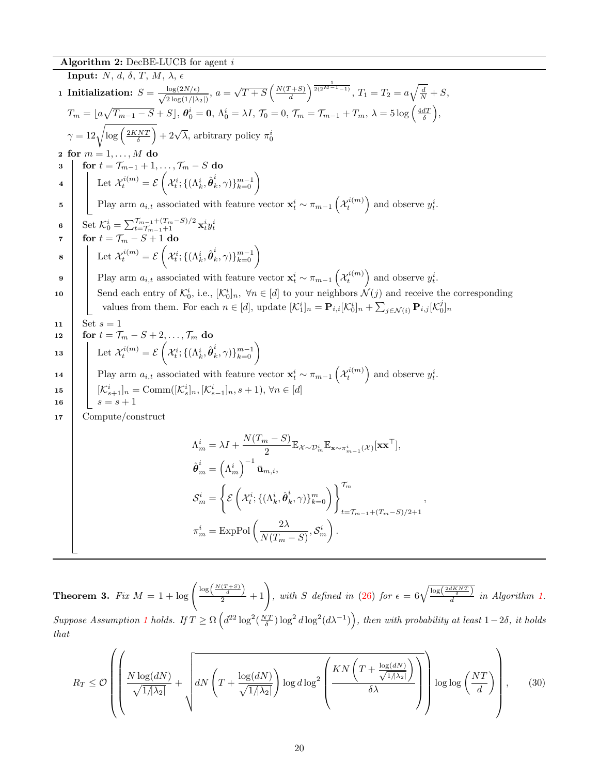Algorithm 2: DecBE-LUCB for agent  $i$ 

<span id="page-19-0"></span>**Input:**  $N, d, \delta, T, M, \lambda, \epsilon$ 1 Initialization:  $S = \frac{\log(2N/\epsilon)}{\sqrt{2N/\epsilon}}$  $\frac{\log(2N/\epsilon)}{2\log(1/|\lambda_2|)}, a =$ √  $\overline{T+S}$   $\left(\frac{N(T+S)}{d}\right)$  $\left(\frac{T+S}{d}\right)^{\frac{1}{2(2^{M-1}-1)}}, T_1=T_2=a\sqrt{\frac{d}{N}}+S,$  $T_m = \lfloor a \sqrt{T_{m-1} - S} + S \rfloor, \, \boldsymbol{\theta}_0^i = \boldsymbol{0}, \, \Lambda_0^i = \lambda I, \, \mathcal{T}_0 = 0, \, \mathcal{T}_m = \mathcal{T}_{m-1} + T_m, \, \lambda = 5 \log\left(\frac{4dT}{\delta}\right),$  $\gamma = 12\sqrt{\log\left(\frac{2KNT}{\delta}\right)} + 2\sqrt{\lambda}$ , arbitrary policy  $\pi_0^i$ 2 for  $m = 1, \ldots, M$  do 3  $\vert$  for  $t = \mathcal{T}_{m-1} + 1, \ldots, \mathcal{T}_m - S$  do  $\mathcal{H}_t^{i}(m) = \mathcal{E}\left(\mathcal{X}_t^{i}; \{(\Lambda_k^i, \hat{\boldsymbol{\theta}}_k^i)\}\right)$  $\binom{i}{k}, \gamma$ } $\binom{m-1}{k=0}$ 5 Play arm  $a_{i,t}$  associated with feature vector  $\mathbf{x}_t^i \sim \pi_{m-1} \left( \mathcal{X}_t^{i(m)} \right)$  and observe  $y_t^i$ . 6 Set  $\mathcal{K}_0^i = \sum_{t = \mathcal{T}_{m-1} + 1}^{\mathcal{T}_{m-1} + (T_m - S)/2} \mathbf{x}_t^i y_t^i$ 7 for  $t = \mathcal{T}_m - S + 1$  do  $\begin{array}{ccc} \mathbf{s} & \begin{array}{|c} \end{array} \end{array} \end{array} \begin{array}{c} \begin{array}{c} \end{array} \end{array} \begin{array}{c} \end{array} \begin{array}{c} \mathcal{X}^{i}_{t} \end{array} \begin{array}{c} \end{array} \begin{array}{c} \end{array} \begin{array}{c} \mathcal{X}^{i}_{t} \end{array} \begin{array}{c} \end{array} \begin{array}{c} \end{array} \begin{array}{c} \mathcal{X}^{i}_{t} \end{array} \begin{array}{c} \end{array} \begin{array}{c} \end{array} \begin{array}{c}$  $\binom{i}{k}, \gamma$ } $\binom{m-1}{k=0}$ 9 Play arm  $a_{i,t}$  associated with feature vector  $x_t^i \sim \pi_{m-1} \left( \mathcal{X}_t^{i(m)} \right)$  and observe  $y_t^i$ . 10 Send each entry of  $\mathcal{K}_0^i$ , i.e.,  $[\mathcal{K}_0^i]_n$ ,  $\forall n \in [d]$  to your neighbors  $\mathcal{N}(j)$  and receive the corresponding values from them. For each  $n \in [d]$ , update  $[\mathcal{K}_1^i]_n = \mathbf{P}_{i,i} [\mathcal{K}_0^i]_n + \sum_{j \in \mathcal{N}(i)} \mathbf{P}_{i,j} [\mathcal{K}_0^j]_n$ 11 | Set  $s = 1$ 12  $\Big|$  for  $t = \mathcal{T}_m - S + 2, \ldots, \mathcal{T}_m$  do  $\begin{array}{|c|c|} \hline \textbf{13} & \textbf{15} \end{array} \begin{array}{|c|c|} \hline \textbf{16} & \textbf{16} \end{array} \begin{array}{c} \hline \textbf{2}^{i(m)} & \textbf{18} \end{array} \begin{array}{c} \hline \textbf{2}^{i} & \textbf{16} \end{array} \begin{array}{|c|c|} \hline \textbf{2}^{i} & \textbf{16} \end{array} \begin{array}{|c|c|} \hline \textbf{2}^{i} & \textbf{16} \end{array} \begin{array}{|c|c|c|} \h$  $\binom{i}{k}, \gamma$ } $\binom{m-1}{k=0}$ 14 Play arm  $a_{i,t}$  associated with feature vector  $\mathbf{x}_t^i \sim \pi_{m-1} \left( \mathcal{X}_t^{i(m)} \right)$  and observe  $y_t^i$ . 15  $[\mathcal{K}_{s+1}^i]_n = \text{Comm}([\mathcal{K}_{s}^i]_n, [\mathcal{K}_{s-1}^i]_n, s+1), \forall n \in [d]$ 16  $s = s + 1$ 17 Compute/construct  $\Lambda_m^i = \lambda I + \frac{N(T_m - S)}{2}$  $\frac{1}{2}\frac{\mathbb{E}_{\mathcal{X}\sim\mathcal{D}_m^i}\mathbb{E}_{\mathbf{x}\sim\pi_{m-1}^i(\mathcal{X})}[\mathbf{x}\mathbf{x}^\top]}$  $\hat{\boldsymbol{\theta}}^i_m = \left(\Lambda^i_m\right)^{-1}\bar{\mathbf{u}}_{m,i},$  $\mathcal{S}^i_m =$  $\sqrt{ }$  $\mathscr{\mathcal{E}}\left(\mathcal{X}_t^i;\{(\Lambda_k^i,\hat{\boldsymbol{\theta}}_k^i$  $\left\{\begin{smallmatrix} i \ k,\,\gamma)\}^m_{k=0} \end{smallmatrix}\right\}^{\mathcal{T}_m}$  $t=\mathcal{T}_{m-1}+(T_m-S)/2+1$ ,  $\pi_m^i = \text{ExpPol}\left(\frac{2\lambda}{N/T}\right)$  $\frac{2\lambda}{N(T_m-S)}, \mathcal{S}^i_m$  $\big).$ 

**Theorem 3.** Fix  $M = 1 + \log \left( \frac{\log \left( \frac{N(T+S)}{d} \right)}{2} + 1 \right)$ , with S defined in [\(26\)](#page-18-0) for  $\epsilon = 6\sqrt{\frac{\log \left( \frac{2dKNT}{\delta} \right)}{d}}$  in Algorithm [1.](#page-4-0) Suppose Assumption [1](#page-1-0) holds. If  $T \ge \Omega\left(d^{22} \log^2(\frac{NT}{\delta}) \log^2 d \log^2(d\lambda^{-1})\right)$ , then with probability at least  $1-2\delta$ , it holds that

$$
R_T \leq \mathcal{O}\left(\left(\frac{N\log(dN)}{\sqrt{1/\lambda_2|}} + \sqrt{dN\left(T + \frac{\log(dN)}{\sqrt{1/\lambda_2|}}\right)\log d\log^2\left(\frac{KN\left(T + \frac{\log(dN)}{\sqrt{1/\lambda_2|}}\right)}{\delta\lambda}\right)}\right)\log\log\left(\frac{NT}{d}\right)\right),\tag{30}
$$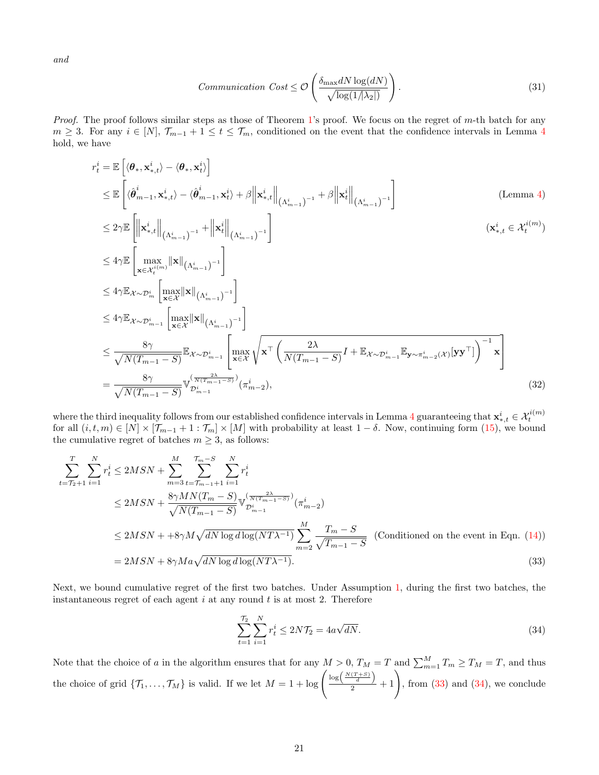and

$$
Communication \; Cost \leq \mathcal{O}\left(\frac{\delta_{\max} dN \log(dN)}{\sqrt{\log(1/\lambda_2|)}}\right). \tag{31}
$$

*Proof.* The proof follows similar steps as those of Theorem [1'](#page-5-2)s proof. We focus on the regret of m-th batch for any  $m \geq 3$ . For any  $i \in [N], \mathcal{T}_{m-1} + 1 \leq t \leq \mathcal{T}_m$ , conditioned on the event that the confidence intervals in Lemma [4](#page-18-2) hold, we have

$$
r_{t}^{i} = \mathbb{E}\left[\langle \theta_{*}, \mathbf{x}_{*,t}^{i} \rangle - \langle \theta_{*}, \mathbf{x}_{t}^{i} \rangle \right]
$$
\n
$$
\leq \mathbb{E}\left[\langle \hat{\theta}_{m-1}^{i}, \mathbf{x}_{*,t}^{i} \rangle - \langle \hat{\theta}_{m-1}^{i}, \mathbf{x}_{t}^{i} \rangle + \beta \Big| \mathbf{x}_{*,t}^{i} \Big|_{\left(\Lambda_{m-1}^{i}\right)^{-1}} + \beta \Big| \mathbf{x}_{t}^{i} \Big|_{\left(\Lambda_{m-1}^{i}\right)^{-1}}\right]
$$
\n
$$
\leq 2\gamma \mathbb{E}\left[\left\| \mathbf{x}_{*,t}^{i} \Big|_{\left(\Lambda_{m-1}^{i}\right)^{-1}} + \Big| \mathbf{x}_{t}^{i} \Big|_{\left(\Lambda_{m-1}^{i}\right)^{-1}}\right] \qquad (\mathbf{x}_{*,t}^{i} \in \mathcal{X}_{t}^{i(m)})
$$
\n
$$
\leq 4\gamma \mathbb{E}\left[\max_{\mathbf{x} \in \mathcal{X}_{t}^{i(m)}} \|\mathbf{x}\|_{\left(\Lambda_{m-1}^{i}\right)^{-1}}\right]
$$
\n
$$
\leq 4\gamma \mathbb{E}_{\mathcal{X} \sim \mathcal{D}_{m}^{i}} \left[\max_{\mathbf{x} \in \mathcal{X}} \|\mathbf{x}\|_{\left(\Lambda_{m-1}^{i}\right)^{-1}}\right]
$$
\n
$$
\leq 4\gamma \mathbb{E}_{\mathcal{X} \sim \mathcal{D}_{m-1}^{i}} \left[\max_{\mathbf{x} \in \mathcal{X}} \|\mathbf{x}\|_{\left(\Lambda_{m-1}^{i}\right)^{-1}}\right]
$$
\n
$$
\leq \frac{8\gamma}{\sqrt{N(T_{m-1} - S)}} \mathbb{E}_{\mathcal{X} \sim \mathcal{D}_{m-1}^{i}} \left[\max_{\mathbf{x} \in \mathcal{X}} \sqrt{\mathbf{x}^{\top}\left(\frac{2\lambda}{N(T_{m-1} - S)}I + \mathbb{E}_{\mathcal{X} \sim \mathcal{D}_{m-1}^{i}} \mathbb{E}_{\mathbf{y} \sim \pi_{m-2}^{i}(\mathcal{X})}[\mathbf{y}^{\top}]\right)^{-1
$$

where the third inequality follows from our established confidence intervals in Lemma [4](#page-18-2) guaranteeing that  $\mathbf{x}_{*,t}^i \in \mathcal{X}_t^{i(m)}$ for all  $(i, t, m) \in [N] \times [T_{m-1} + 1 : T_m] \times [M]$  with probability at least  $1 - \delta$ . Now, continuing form  $(15)$ , we bound the cumulative regret of batches  $m \geq 3$ , as follows:

$$
\sum_{t=T_2+1}^{T} \sum_{i=1}^{N} r_i^i \le 2MSN + \sum_{m=3}^{M} \sum_{t=T_{m-1}+1}^{T_m-S} \sum_{i=1}^{N} r_i^i
$$
\n
$$
\le 2MSN + \frac{8\gamma MN(T_m - S)}{\sqrt{N(T_{m-1} - S)}} \mathbb{V}_{\mathcal{D}_{m-1}^i}^{(\frac{2\lambda}{N(T_{m-1} - S)})}(\pi_{m-2}^i)
$$
\n
$$
\le 2MSN + 8\gamma M \sqrt{dN \log d \log (NT\lambda^{-1})} \sum_{m=2}^{M} \frac{T_m - S}{\sqrt{T_{m-1} - S}} \quad \text{(Conditional on the event in Eqn. (14))}
$$
\n
$$
= 2MSN + 8\gamma Ma \sqrt{dN \log d \log (NT\lambda^{-1})}. \tag{33}
$$

Next, we bound cumulative regret of the first two batches. Under Assumption [1,](#page-1-0) during the first two batches, the instantaneous regret of each agent  $i$  at any round  $t$  is at most 2. Therefore

<span id="page-20-1"></span><span id="page-20-0"></span>
$$
\sum_{t=1}^{T_2} \sum_{i=1}^{N} r_t^i \le 2N\mathcal{T}_2 = 4a\sqrt{dN}.
$$
\n(34)

Note that the choice of a in the algorithm ensures that for any  $M > 0$ ,  $T_M = T$  and  $\sum_{m=1}^{M} T_m \geq T_M = T$ , and thus the choice of grid  $\{\mathcal{T}_1,\ldots,\mathcal{T}_M\}$  is valid. If we let  $M=1+\log\left(\frac{\log\left(\frac{N(T+S)}{d}\right)}{2}+1\right)$ , from [\(33\)](#page-20-0) and [\(34\)](#page-20-1), we conclude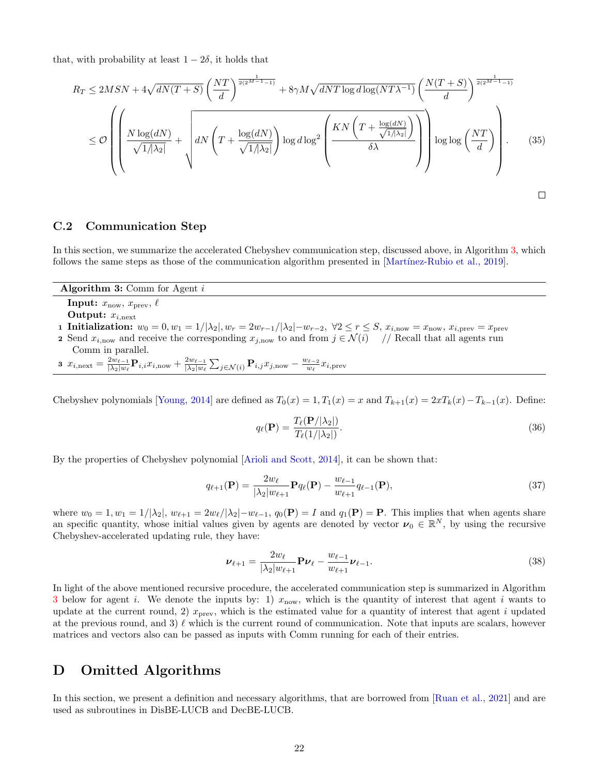that, with probability at least  $1 - 2\delta$ , it holds that

$$
R_T \le 2MSN + 4\sqrt{dN(T+S)} \left(\frac{NT}{d}\right)^{\frac{1}{2(2^{M-1}-1)}} + 8\gamma M \sqrt{dNT \log d \log (NT\lambda^{-1})} \left(\frac{N(T+S)}{d}\right)^{\frac{1}{2(2^{M-1}-1)}} \le O\left(\frac{N \log(dN)}{\sqrt{1/\lambda_2!}} + \sqrt{dN \left(T + \frac{\log(dN)}{\sqrt{1/\lambda_2!}}\right) \log d \log^2 \left(\frac{KN \left(T + \frac{\log(dN)}{\sqrt{1/\lambda_2!}}\right)}{\delta \lambda}\right)} \right) \log \log \left(\frac{NT}{d}\right).
$$
(35)

### C.2 Communication Step

In this section, we summarize the accelerated Chebyshev communication step, discussed above, in Algorithm [3,](#page-21-1) which follows the same steps as those of the communication algorithm presented in [Martínez-Rubio et al., 2019].

Algorithm 3: Comm for Agent i

<span id="page-21-1"></span>**Input:**  $x_{\text{now}}, x_{\text{prev}}, \ell$ 

Output:  $x_{i,\text{next}}$ 

- 1 Initialization:  $w_0 = 0, w_1 = 1/|\lambda_2|, w_r = 2w_{r-1}/|\lambda_2| w_{r-2}, \ \forall 2 \leq r \leq S, x_{i,\text{now}} = x_{\text{now}}, x_{i,\text{prev}} = x_{\text{prev}}$
- 2 Send  $x_{i,\text{now}}$  and receive the corresponding  $x_{j,\text{now}}$  to and from  $j \in \mathcal{N}(i)$  // Recall that all agents run Comm in parallel.

3  $x_{i,\text{next}} = \frac{2w_{\ell-1}}{|\lambda_2|w_{\ell}}$  $\frac{2w_{\ell-1}}{|\lambda_2|w_{\ell}} \mathbf P_{i,i} x_{i,\textrm{now}} + \frac{2w_{\ell-1}}{|\lambda_2|w_{\ell}}$  $\frac{2w_{\ell-1}}{|\lambda_2|w_{\ell}}\sum_{j\in \mathcal{N}(i)}\mathbf{P}_{i,j}x_{j,\textrm{now}}-\frac{w_{\ell-2}}{w_{\ell}}$  $\frac{w_{\ell-2}}{w_{\ell}}x_{i,\text{prev}}$ 

Chebyshev polynomials [\[Young, 2014\]](#page-10-9) are defined as  $T_0(x) = 1, T_1(x) = x$  and  $T_{k+1}(x) = 2xT_k(x) - T_{k-1}(x)$ . Define:

$$
q_{\ell}(\mathbf{P}) = \frac{T_{\ell}(\mathbf{P}/|\lambda_2|)}{T_{\ell}(1/|\lambda_2|)}.
$$
\n(36)

By the properties of Chebyshev polynomial [\[Arioli and Scott, 2014\]](#page-9-17), it can be shown that:

$$
q_{\ell+1}(\mathbf{P}) = \frac{2w_{\ell}}{|\lambda_2|w_{\ell+1}} \mathbf{P} q_{\ell}(\mathbf{P}) - \frac{w_{\ell-1}}{w_{\ell+1}} q_{\ell-1}(\mathbf{P}),
$$
\n(37)

where  $w_0 = 1, w_1 = 1/|\lambda_2|, w_{\ell+1} = 2w_{\ell}/|\lambda_2| - w_{\ell-1}, q_0(\mathbf{P}) = I$  and  $q_1(\mathbf{P}) = \mathbf{P}$ . This implies that when agents share an specific quantity, whose initial values given by agents are denoted by vector  $\nu_0 \in \mathbb{R}^N$ , by using the recursive Chebyshev-accelerated updating rule, they have:

$$
\nu_{\ell+1} = \frac{2w_{\ell}}{|\lambda_2|w_{\ell+1}} \mathbf{P} \nu_{\ell} - \frac{w_{\ell-1}}{w_{\ell+1}} \nu_{\ell-1}.
$$
\n(38)

In light of the above mentioned recursive procedure, the accelerated communication step is summarized in Algorithm [3](#page-21-1) below for agent i. We denote the inputs by: 1)  $x_{\text{now}}$ , which is the quantity of interest that agent i wants to update at the current round, 2)  $x_{\text{prev}}$ , which is the estimated value for a quantity of interest that agent i updated at the previous round, and 3)  $\ell$  which is the current round of communication. Note that inputs are scalars, however matrices and vectors also can be passed as inputs with Comm running for each of their entries.

# <span id="page-21-0"></span>D Omitted Algorithms

In this section, we present a definition and necessary algorithms, that are borrowed from [\[Ruan et al., 2021\]](#page-10-2) and are used as subroutines in DisBE-LUCB and DecBE-LUCB.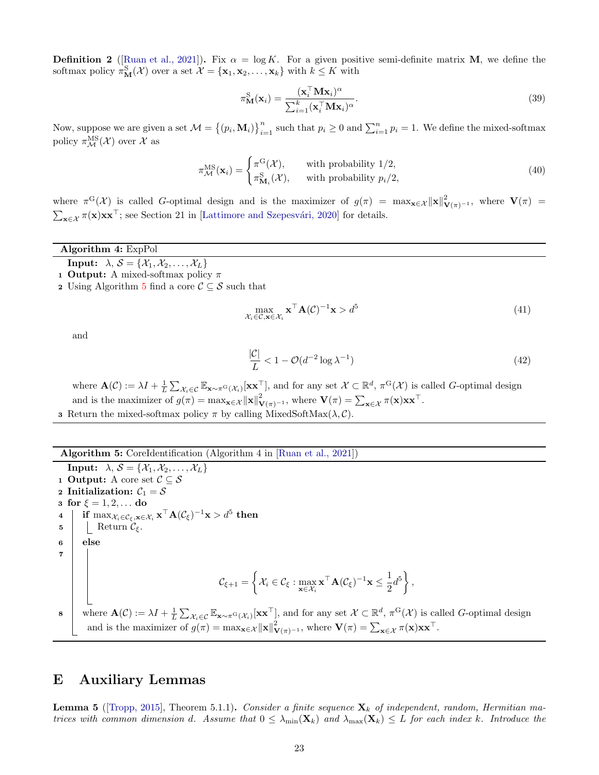<span id="page-22-2"></span>**Definition 2** ([\[Ruan et al., 2021\]](#page-10-2)). Fix  $\alpha = \log K$ . For a given positive semi-definite matrix **M**, we define the softmax policy  $\pi_{\mathbf{M}}^{S}(\mathcal{X})$  over a set  $\mathcal{X} = {\mathbf{x}_1, \mathbf{x}_2, \dots, \mathbf{x}_k}$  with  $k \leq K$  with

$$
\pi_{\mathbf{M}}^{\mathbf{S}}(\mathbf{x}_{i}) = \frac{(\mathbf{x}_{i}^{\top} \mathbf{M} \mathbf{x}_{i})^{\alpha}}{\sum_{i=1}^{k} (\mathbf{x}_{i}^{\top} \mathbf{M} \mathbf{x}_{i})^{\alpha}}.
$$
\n(39)

Now, suppose we are given a set  $\mathcal{M} = \{(p_i, \mathbf{M}_i)\}_{i=1}^n$  such that  $p_i \geq 0$  and  $\sum_{i=1}^n p_i = 1$ . We define the mixed-softmax policy  $\pi_{\mathcal{M}}^{\text{MS}}(\mathcal{X})$  over  $\mathcal{X}$  as

$$
\pi_{\mathcal{M}}^{\text{MS}}(\mathbf{x}_{i}) = \begin{cases} \pi^{\text{G}}(\mathcal{X}), & \text{with probability } 1/2, \\ \pi_{\mathcal{M}_{i}}^{\text{S}}(\mathcal{X}), & \text{with probability } p_{i}/2, \end{cases} \tag{40}
$$

where  $\pi^G(\mathcal{X})$  is called G-optimal design and is the maximizer of  $g(\pi) = \max_{\mathbf{x} \in \mathcal{X}} ||\mathbf{x}||^2_{\mathbf{V}(\pi)^{-1}}$ , where  $\mathbf{V}(\pi) =$  $\sum_{\mathbf{x}\in\mathcal{X}} \pi(\mathbf{x})\mathbf{x}\mathbf{x}^{\top}$ ; see Section 21 in [Lattimore and Szepesvári, 2020] for details.

#### Algorithm 4: ExpPol

<span id="page-22-0"></span>**Input:**  $\lambda, \mathcal{S} = \{X_1, X_2, \ldots, X_L\}$ 

- 1 **Output:** A mixed-softmax policy  $\pi$
- 2 Using Algorithm [5](#page-22-1) find a core  $\mathcal{C} \subseteq \mathcal{S}$  such that

$$
\max_{\mathcal{X}_i \in \mathcal{C}, \mathbf{x} \in \mathcal{X}_i} \mathbf{x}^\top \mathbf{A}(\mathcal{C})^{-1} \mathbf{x} > d^5 \tag{41}
$$

and

$$
\frac{|\mathcal{C}|}{L} < 1 - \mathcal{O}(d^{-2}\log \lambda^{-1})\tag{42}
$$

where  $\mathbf{A}(\mathcal{C}) := \lambda I + \frac{1}{L} \sum_{\mathcal{X}_i \in \mathcal{C}} \mathbb{E}_{\mathbf{x} \sim \pi^{\mathrm{G}}(\mathcal{X}_i)}[\mathbf{x} \mathbf{x}^{\top}],$  and for any set  $\mathcal{X} \subset \mathbb{R}^d$ ,  $\pi^{\mathrm{G}}(\mathcal{X})$  is called G-optimal design and is the maximizer of  $g(\pi) = \max_{\mathbf{x} \in \mathcal{X}} ||\mathbf{x}||^2_{\mathbf{V}(\pi)^{-1}}$ , where  $\mathbf{V}(\pi) = \sum_{\mathbf{x} \in \mathcal{X}} \pi(\mathbf{x}) \mathbf{x} \mathbf{x}^{\top}$ . **3** Return the mixed-softmax policy  $\pi$  by calling MixedSoftMax( $\lambda$ , $C$ ).

<span id="page-22-1"></span>Algorithm 5: CoreIdentification (Algorithm 4 in [\[Ruan et al., 2021\]](#page-10-2))

**Input:**  $\lambda, \mathcal{S} = \{X_1, X_2, \ldots, X_L\}$ 1 Output: A core set  $\mathcal{C} \subseteq \mathcal{S}$ 2 Initialization:  $C_1 = S$ 3 for  $\xi = 1, 2, ...$  do  $\begin{array}{l} \textbf{4} \end{array} \big\vert \ \ \ \textbf{if} \ \max_{\mathcal{X}_i \in \mathcal{C}_{\xi}, \textbf{x} \in \mathcal{X}_i} \textbf{x}^{\top} \textbf{A}(\mathcal{C}_{\xi})^{-1} \textbf{x} > d^5 \ \textbf{then}$ 5 | Return  $\mathcal{C}_{\xi}$ . <sup>6</sup> else 7  $\mathcal{C}_{\xi+1} = \bigg\{ \mathcal{X}_i \in \mathcal{C}_{\xi}: \max_{\mathbf{x} \in \mathcal{X}_i} \mathbf{x}^\top \mathbf{A} (\mathcal{C}_{\xi})^{-1} \mathbf{x} \leq \frac{1}{2} \bigg\}$  $\frac{1}{2}d^5\bigg\}$  , **8** where  $\mathbf{A}(\mathcal{C}) := \lambda I + \frac{1}{L} \sum_{\mathcal{X}_i \in \mathcal{C}} \mathbb{E}_{\mathbf{x} \sim \pi^{\mathrm{G}}(\mathcal{X}_i)}[\mathbf{x} \mathbf{x}^{\top}],$  and for any set  $\mathcal{X} \subset \mathbb{R}^d$ ,  $\pi^{\mathrm{G}}(\mathcal{X})$  is called G-optimal design and is the maximizer of  $g(\pi) = \max_{\mathbf{x} \in \mathcal{X}} ||\mathbf{x}||^2_{\mathbf{V}(\pi)^{-1}}$ , where  $\mathbf{V}(\pi) = \sum_{\mathbf{x} \in \mathcal{X}} \pi(\mathbf{x}) \mathbf{x} \mathbf{x}^{\top}$ .

# E Auxiliary Lemmas

<span id="page-22-3"></span>**Lemma 5** ([\[Tropp, 2015\]](#page-10-10), Theorem 5.1.1). Consider a finite sequence  $\mathbf{X}_k$  of independent, random, Hermitian matrices with common dimension d. Assume that  $0 \leq \lambda_{\min}(\mathbf{X}_k)$  and  $\lambda_{\max}(\mathbf{X}_k) \leq L$  for each index k. Introduce the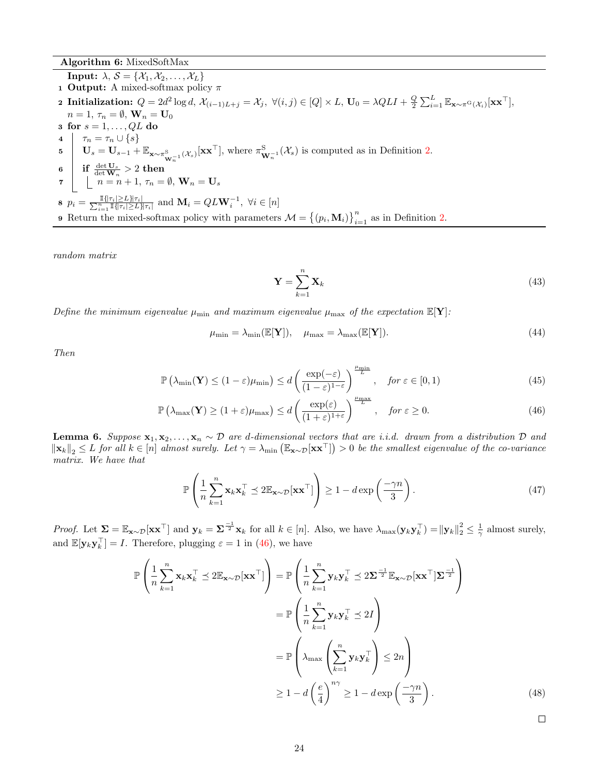Algorithm 6: MixedSoftMax

**Input:**  $\lambda, \mathcal{S} = \{X_1, X_2, \ldots, X_L\}$ 1 **Output:** A mixed-softmax policy  $\pi$ 2 Initialization:  $Q = 2d^2 \log d$ ,  $\mathcal{X}_{(i-1)L+j} = \mathcal{X}_j$ ,  $\forall (i, j) \in [Q] \times L$ ,  $\mathbf{U}_0 = \lambda Q L I + \frac{Q}{2} \sum_{i=1}^L \mathbb{E}_{\mathbf{x} \sim \pi^G(\mathcal{X}_i)}[\mathbf{x} \mathbf{x}^\top]$ ,  $n=1, \tau_n=\emptyset, \mathbf{W}_n=\mathbf{U}_0$ 3 for  $s = 1, \ldots, QL$  do 4  $\tau_n = \tau_n \cup \{s\}$  $\mathbf{U}_s = \mathbf{U}_{s-1} + \mathbb{E}_{\mathbf{x} \sim \pi_{\mathbf{W}_n^{-1}}^S(\mathcal{X}_s)}[\mathbf{x} \mathbf{x}^\top],$  where  $\pi_{\mathbf{W}_n^{-1}}^S(\mathcal{X}_s)$  is computed as in Definition [2.](#page-22-2)  $\begin{array}{|c|c|}\hline \mathbf{6} & \mathbf{if} \end{array} \frac{\det \mathbf{U}_{s}}{\det \mathbf{W}_{n}}>2\text{ }{\bf then}$  $\tau \quad | \quad n = n + 1, \, \tau_n = \emptyset, \, \mathbf{W}_n = \mathbf{U}_s$ **8**  $p_i = \frac{\mathbb{I}\{\|\tau_i\|\geq L\}\|\tau_i\|}{\sum_{i=1}^n \mathbb{I}\{\|\tau_i\|\geq L\}\|\tau_i\|}$  and  $\mathbf{M}_i = QL\mathbf{W}_i^{-1}, \ \forall i \in [n]$ **9** Return the mixed-softmax policy with parameters  $\mathcal{M} = \{(p_i, \mathbf{M}_i)\}_{i=1}^n$  as in Definition [2.](#page-22-2)

random matrix

<span id="page-23-0"></span>
$$
\mathbf{Y} = \sum_{k=1}^{n} \mathbf{X}_k \tag{43}
$$

Define the minimum eigenvalue  $\mu_{\min}$  and maximum eigenvalue  $\mu_{\max}$  of the expectation  $\mathbb{E}[\mathbf{Y}]$ :

$$
\mu_{\min} = \lambda_{\min}(\mathbb{E}[\mathbf{Y}]), \quad \mu_{\max} = \lambda_{\max}(\mathbb{E}[\mathbf{Y}]).
$$
\n(44)

Then

$$
\mathbb{P}\left(\lambda_{\min}(\mathbf{Y}) \le (1-\varepsilon)\mu_{\min}\right) \le d\left(\frac{\exp(-\varepsilon)}{(1-\varepsilon)^{1-\varepsilon}}\right)^{\frac{\mu_{\min}}{L}}, \quad \text{for } \varepsilon \in [0,1)
$$
\n(45)

$$
\mathbb{P}\left(\lambda_{\max}(\mathbf{Y}) \ge (1+\varepsilon)\mu_{\max}\right) \le d\left(\frac{\exp(\varepsilon)}{(1+\varepsilon)^{1+\varepsilon}}\right)^{\frac{\mu_{\max}}{L}}, \quad \text{for } \varepsilon \ge 0. \tag{46}
$$

<span id="page-23-1"></span>**Lemma 6.** Suppose  $x_1, x_2, \ldots, x_n \sim \mathcal{D}$  are d-dimensional vectors that are i.i.d. drawn from a distribution  $\mathcal{D}$  and  $\|\mathbf{x}_k\|_2 \leq L$  for all  $k \in [n]$  almost surely. Let  $\gamma = \lambda_{\min} (\mathbb{E}_{\mathbf{x} \sim \mathcal{D}}[\mathbf{x} \mathbf{x}^{\top}]) > 0$  be the smallest eigenvalue of the co-variance matrix. We have that

$$
\mathbb{P}\left(\frac{1}{n}\sum_{k=1}^{n}\mathbf{x}_{k}\mathbf{x}_{k}^{\top} \preceq 2\mathbb{E}_{\mathbf{x}\sim\mathcal{D}}[\mathbf{x}\mathbf{x}^{\top}]\right) \ge 1 - d\exp\left(\frac{-\gamma n}{3}\right). \tag{47}
$$

Proof. Let  $\Sigma = \mathbb{E}_{\mathbf{x} \sim \mathcal{D}}[\mathbf{x} \mathbf{x}^{\top}]$  and  $\mathbf{y}_k = \Sigma^{\frac{-1}{2}} \mathbf{x}_k$  for all  $k \in [n]$ . Also, we have  $\lambda_{\max}(\mathbf{y}_k \mathbf{y}_k^{\top}) = ||\mathbf{y}_k||_2^2 \leq \frac{1}{\gamma}$  almost surely, and  $\mathbb{E}[\mathbf{y}_k \mathbf{y}_k^{\top}] = I$ . Therefore, plugging  $\varepsilon = 1$  in [\(46\)](#page-23-0), we have

$$
\mathbb{P}\left(\frac{1}{n}\sum_{k=1}^{n}\mathbf{x}_{k}\mathbf{x}_{k}^{\top} \preceq 2\mathbb{E}_{\mathbf{x}\sim\mathcal{D}}[\mathbf{x}\mathbf{x}^{\top}]\right) = \mathbb{P}\left(\frac{1}{n}\sum_{k=1}^{n}\mathbf{y}_{k}\mathbf{y}_{k}^{\top} \preceq 2\mathbf{\Sigma}^{\frac{-1}{2}}\mathbb{E}_{\mathbf{x}\sim\mathcal{D}}[\mathbf{x}\mathbf{x}^{\top}|\mathbf{\Sigma}^{\frac{-1}{2}}]\right)
$$

$$
= \mathbb{P}\left(\frac{1}{n}\sum_{k=1}^{n}\mathbf{y}_{k}\mathbf{y}_{k}^{\top} \preceq 2I\right)
$$

$$
= \mathbb{P}\left(\lambda_{\max}\left(\sum_{k=1}^{n}\mathbf{y}_{k}\mathbf{y}_{k}^{\top}\right) \leq 2n\right)
$$

$$
\geq 1 - d\left(\frac{e}{4}\right)^{n\gamma} \geq 1 - d\exp\left(\frac{-\gamma n}{3}\right).
$$
(48)

 $\Box$